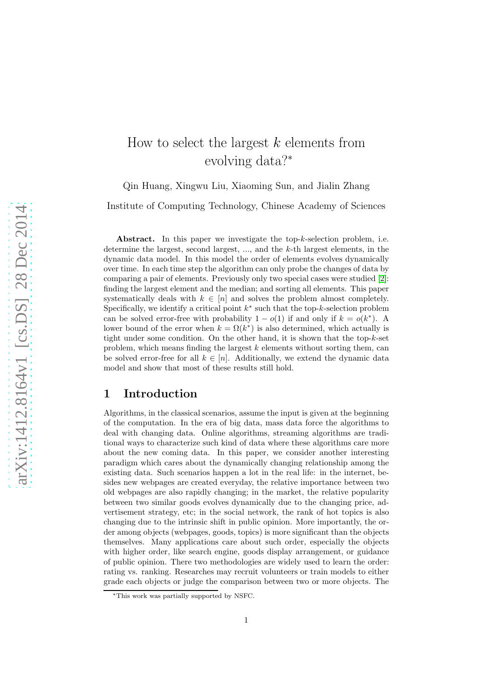# How to select the largest  $k$  elements from evolving data?<sup>∗</sup>

Qin Huang, Xingwu Liu, Xiaoming Sun, and Jialin Zhang

Institute of Computing Technology, Chinese Academy of Sciences

Abstract. In this paper we investigate the top-k-selection problem, i.e. determine the largest, second largest, ..., and the k-th largest elements, in the dynamic data model. In this model the order of elements evolves dynamically over time. In each time step the algorithm can only probe the changes of data by comparing a pair of elements. Previously only two special cases were studied [\[2\]](#page-21-0): finding the largest element and the median; and sorting all elements. This paper systematically deals with  $k \in [n]$  and solves the problem almost completely. Specifically, we identify a critical point  $k^*$  such that the top- $k$ -selection problem can be solved error-free with probability  $1 - o(1)$  if and only if  $k = o(k^*)$ . A lower bound of the error when  $k = \Omega(k^*)$  is also determined, which actually is tight under some condition. On the other hand, it is shown that the top- $k$ -set problem, which means finding the largest  $k$  elements without sorting them, can be solved error-free for all  $k \in [n]$ . Additionally, we extend the dynamic data model and show that most of these results still hold.

## 1 Introduction

Algorithms, in the classical scenarios, assume the input is given at the beginning of the computation. In the era of big data, mass data force the algorithms to deal with changing data. Online algorithms, streaming algorithms are traditional ways to characterize such kind of data where these algorithms care more about the new coming data. In this paper, we consider another interesting paradigm which cares about the dynamically changing relationship among the existing data. Such scenarios happen a lot in the real life: in the internet, besides new webpages are created everyday, the relative importance between two old webpages are also rapidly changing; in the market, the relative popularity between two similar goods evolves dynamically due to the changing price, advertisement strategy, etc; in the social network, the rank of hot topics is also changing due to the intrinsic shift in public opinion. More importantly, the order among objects (webpages, goods, topics) is more significant than the objects themselves. Many applications care about such order, especially the objects with higher order, like search engine, goods display arrangement, or guidance of public opinion. There two methodologies are widely used to learn the order: rating vs. ranking. Researches may recruit volunteers or train models to either grade each objects or judge the comparison between two or more objects. The

<sup>∗</sup>This work was partially supported by NSFC.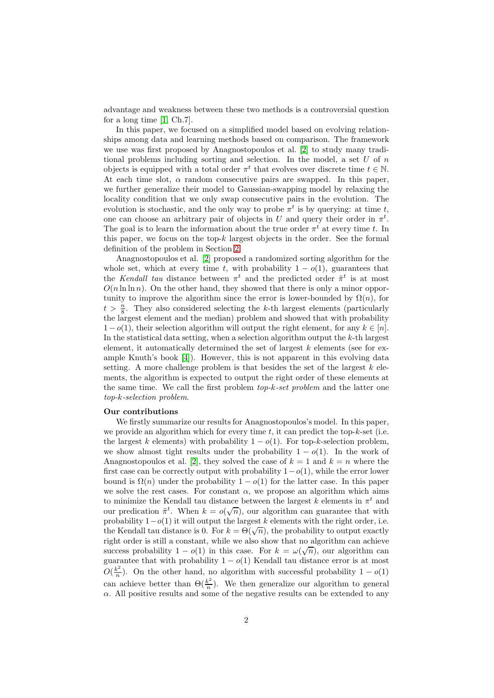advantage and weakness between these two methods is a controversial question for a long time [\[1,](#page-21-1) Ch.7].

In this paper, we focused on a simplified model based on evolving relationships among data and learning methods based on comparison. The framework we use was first proposed by Anagnostopoulos et al. [\[2\]](#page-21-0) to study many traditional problems including sorting and selection. In the model, a set  $U$  of  $n$ objects is equipped with a total order  $\pi^t$  that evolves over discrete time  $t \in \mathbb{N}$ . At each time slot,  $\alpha$  random consecutive pairs are swapped. In this paper, we further generalize their model to Gaussian-swapping model by relaxing the locality condition that we only swap consecutive pairs in the evolution. The evolution is stochastic, and the only way to probe  $\pi^t$  is by querying: at time t, one can choose an arbitrary pair of objects in U and query their order in  $\pi^t$ . The goal is to learn the information about the true order  $\pi^t$  at every time t. In this paper, we focus on the top- $k$  largest objects in the order. See the formal definition of the problem in Section [2.](#page-3-0)

Anagnostopoulos et al. [\[2\]](#page-21-0) proposed a randomized sorting algorithm for the whole set, which at every time t, with probability  $1 - o(1)$ , guarantees that the Kendall tau distance between  $\pi^t$  and the predicted order  $\tilde{\pi}^t$  is at most  $O(n \ln \ln n)$ . On the other hand, they showed that there is only a minor opportunity to improve the algorithm since the error is lower-bounded by  $\Omega(n)$ , for  $t > \frac{n}{8}$ . They also considered selecting the k-th largest elements (particularly the largest element and the median) problem and showed that with probability  $1-o(1)$ , their selection algorithm will output the right element, for any  $k \in [n]$ . In the statistical data setting, when a selection algorithm output the  $k$ -th largest element, it automatically determined the set of largest  $k$  elements (see for example Knuth's book [\[4\]](#page-21-2)). However, this is not apparent in this evolving data setting. A more challenge problem is that besides the set of the largest  $k$  elements, the algorithm is expected to output the right order of these elements at the same time. We call the first problem top-k-set problem and the latter one top-k-selection problem.

#### Our contributions

We firstly summarize our results for Anagnostopoulos's model. In this paper, we provide an algorithm which for every time  $t$ , it can predict the top-k-set (i.e. the largest k elements) with probability  $1 - o(1)$ . For top-k-selection problem, we show almost tight results under the probability  $1 - o(1)$ . In the work of Anagnostopoulos et al. [\[2\]](#page-21-0), they solved the case of  $k = 1$  and  $k = n$  where the first case can be correctly output with probability  $1-o(1)$ , while the error lower bound is  $\Omega(n)$  under the probability  $1 - o(1)$  for the latter case. In this paper we solve the rest cases. For constant  $\alpha$ , we propose an algorithm which aims to minimize the Kendall tau distance between the largest  $k$  elements in  $\pi^t$  and our predication  $\tilde{\pi}^t$ . When  $k = o(\sqrt{n})$ , our algorithm can guarantee that with probability  $1-o(1)$  it will output the largest k elements with the right order, i.e. the Kendall tau distance is 0. For  $k = \Theta(\sqrt{n})$ , the probability to output exactly right order is still a constant, while we also show that no algorithm can achieve success probability  $1 - o(1)$  in this case. For  $k = \omega(\sqrt{n})$ , our algorithm can guarantee that with probability  $1 - o(1)$  Kendall tau distance error is at most  $O(\frac{k^2}{n})$  $\frac{\kappa^2}{n}$ ). On the other hand, no algorithm with successful probability  $1 - o(1)$ can achieve better than  $\Theta(\frac{k^2}{n})$  $\frac{k^2}{n}$ ). We then generalize our algorithm to general  $\alpha$ . All positive results and some of the negative results can be extended to any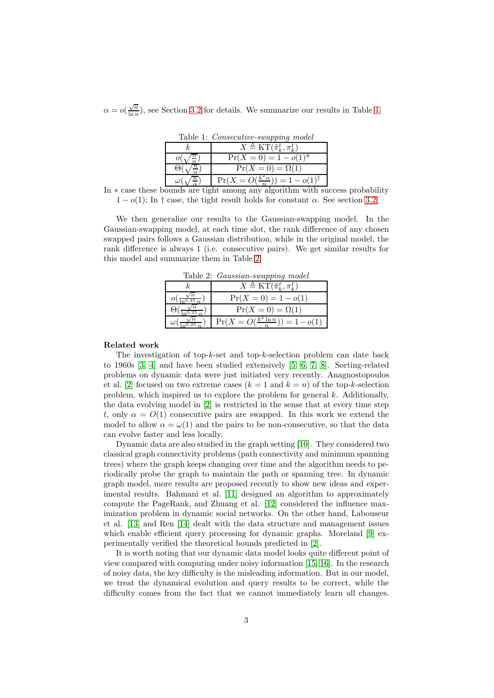$\alpha = o\left(\frac{\sqrt{n}}{\ln n}\right)$  $\frac{\sqrt{n}}{\ln n}$ , see Section [3.2](#page-7-0) for details. We summarize our results in Table [1.](#page-2-0)

<span id="page-2-0"></span>Table 1: Consecutive-swapping model k  $X \triangleq \mathrm{KT}(\tilde{\pi}_k^t, \pi_k^t)$  $o(\sqrt{\frac{n}{\alpha}})$  Pr(X = 0) = 1 –  $o(1)^*$  $\Theta(\sqrt{\frac{n}{\alpha}})$   $Pr(X = 0) = \Omega(1)$  $\omega(\sqrt{\frac{n}{\alpha}})$  Pr $(X = O(\frac{k^2\alpha}{n})) = 1 - o(1)^{\dagger}$ 

In  $*$  case these bounds are tight among any algorithm with success probability  $1-o(1)$ : In † case, the tight result holds for constant  $\alpha$ . See section [3.2](#page-7-0)

We then generalize our results to the Gaussian-swapping model. In the Gaussian-swapping model, at each time slot, the rank difference of any chosen swapped pairs follows a Gaussian distribution, while in the original model, the rank difference is always 1 (i.e. consecutive pairs). We get similar results for this model and summarize them in Table [2.](#page-2-1)

<span id="page-2-1"></span>

| Table 2: <i>Gaussian-swapping model</i> |                                                     |
|-----------------------------------------|-----------------------------------------------------|
|                                         | $X \triangleq KT(\tilde{\pi}_{k}^{t}, \pi_{k}^{t})$ |
|                                         | $Pr(X = 0) = 1 - o(1)$                              |
|                                         | $Pr(X = 0) = \Omega(1)$                             |
|                                         | $Pr(X = O(\frac{k^2 \ln n}{n})) = 1 - o(1)$         |

Related work

The investigation of top- $k$ -set and top- $k$ -selection problem can date back to 1960s [\[3,](#page-21-3) [4\]](#page-21-2) and have been studied extensively [\[5,](#page-21-4) [6,](#page-21-5) [7,](#page-21-6) [8\]](#page-21-7). Sorting-related problems on dynamic data were just initiated very recently. Anagnostopoulos et al. [\[2\]](#page-21-0) focused on two extreme cases  $(k = 1 \text{ and } k = n)$  of the top-k-selection problem, which inspired us to explore the problem for general  $k$ . Additionally, the data evolving model in [\[2\]](#page-21-0) is restricted in the sense that at every time step t, only  $\alpha = O(1)$  consecutive pairs are swapped. In this work we extend the model to allow  $\alpha = \omega(1)$  and the pairs to be non-consecutive, so that the data can evolve faster and less locally.

Dynamic data are also studied in the graph setting [\[10\]](#page-21-8). They considered two classical graph connectivity problems (path connectivity and minimum spanning trees) where the graph keeps changing over time and the algorithm needs to periodically probe the graph to maintain the path or spanning tree. In dynamic graph model, more results are proposed recently to show new ideas and experimental results. Bahmani et al. [\[11\]](#page-21-9) designed an algorithm to approximately compute the PageRank, and Zhuang et al. [\[12\]](#page-21-10) considered the influence maximization problem in dynamic social networks. On the other hand, Labouseur et al. [\[13\]](#page-21-11) and Ren [\[14\]](#page-21-12) dealt with the data structure and management issues which enable efficient query processing for dynamic graphs. Moreland [\[9\]](#page-21-13) experimentally verified the theoretical bounds predicted in [\[2\]](#page-21-0).

It is worth noting that our dynamic data model looks quite different point of view compared with computing under noisy information [\[15,](#page-22-0) [16\]](#page-22-1). In the research of noisy data, the key difficulty is the misleading information. But in our model, we treat the dynamical evolution and query results to be correct, while the difficulty comes from the fact that we cannot immediately learn all changes.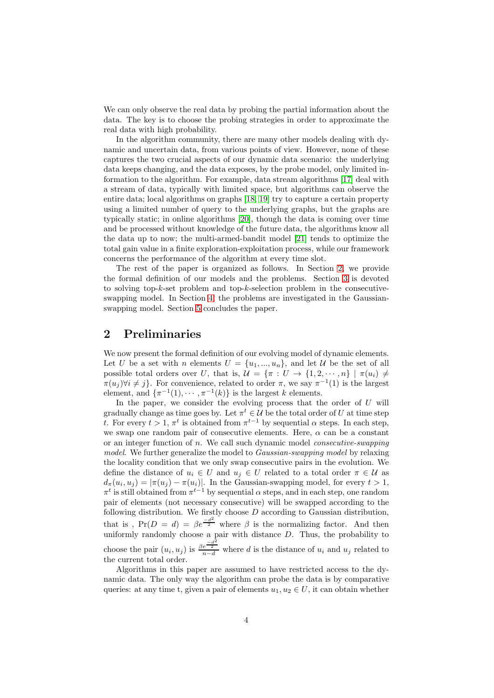We can only observe the real data by probing the partial information about the data. The key is to choose the probing strategies in order to approximate the real data with high probability.

In the algorithm community, there are many other models dealing with dynamic and uncertain data, from various points of view. However, none of these captures the two crucial aspects of our dynamic data scenario: the underlying data keeps changing, and the data exposes, by the probe model, only limited information to the algorithm. For example, data stream algorithms [\[17\]](#page-22-2) deal with a stream of data, typically with limited space, but algorithms can observe the entire data; local algorithms on graphs [\[18,](#page-22-3) [19\]](#page-22-4) try to capture a certain property using a limited number of query to the underlying graphs, but the graphs are typically static; in online algorithms [\[20\]](#page-22-5), though the data is coming over time and be processed without knowledge of the future data, the algorithms know all the data up to now; the multi-armed-bandit model [\[21\]](#page-22-6) tends to optimize the total gain value in a finite exploration-exploitation process, while our framework concerns the performance of the algorithm at every time slot.

The rest of the paper is organized as follows. In Section [2,](#page-3-0) we provide the formal definition of our models and the problems. Section [3](#page-4-0) is devoted to solving top-k-set problem and top-k-selection problem in the consecutiveswapping model. In Section [4,](#page-13-0) the problems are investigated in the Gaussianswapping model. Section [5](#page-20-0) concludes the paper.

# <span id="page-3-0"></span>2 Preliminaries

We now present the formal definition of our evolving model of dynamic elements. Let U be a set with n elements  $U = \{u_1, ..., u_n\}$ , and let U be the set of all possible total orders over U, that is,  $\mathcal{U} = {\pi : U \to \{1, 2, \dots, n\} \mid \pi(u_i) \neq \emptyset}$  $\pi(u_j) \forall i \neq j$ . For convenience, related to order  $\pi$ , we say  $\pi^{-1}(1)$  is the largest element, and  $\{\pi^{-1}(1), \cdots, \pi^{-1}(k)\}\$ is the largest k elements.

In the paper, we consider the evolving process that the order of  $U$  will gradually change as time goes by. Let  $\pi^t \in \mathcal{U}$  be the total order of U at time step t. For every  $t > 1$ ,  $\pi^t$  is obtained from  $\pi^{t-1}$  by sequential  $\alpha$  steps. In each step, we swap one random pair of consecutive elements. Here,  $\alpha$  can be a constant or an integer function of  $n$ . We call such dynamic model *consecutive-swapping* model. We further generalize the model to *Gaussian-swapping model* by relaxing the locality condition that we only swap consecutive pairs in the evolution. We define the distance of  $u_i \in U$  and  $u_i \in U$  related to a total order  $\pi \in \mathcal{U}$  as  $d_{\pi}(u_i, u_j) = |\pi(u_j) - \pi(u_i)|$ . In the Gaussian-swapping model, for every  $t > 1$ ,  $\pi^t$  is still obtained from  $\pi^{t-1}$  by sequential  $\alpha$  steps, and in each step, one random pair of elements (not necessary consecutive) will be swapped according to the following distribution. We firstly choose  $D$  according to Gaussian distribution, that is,  $Pr(D = d) = \beta e^{\frac{-d^2}{2}}$  where  $\beta$  is the normalizing factor. And then uniformly randomly choose a pair with distance  $D$ . Thus, the probability to choose the pair  $(u_i, u_j)$  is  $\frac{\beta e^{-\frac{d^2}{2}}}{n-d}$  where d is the distance of  $u_i$  and  $u_j$  related to the current total order.

Algorithms in this paper are assumed to have restricted access to the dynamic data. The only way the algorithm can probe the data is by comparative queries: at any time t, given a pair of elements  $u_1, u_2 \in U$ , it can obtain whether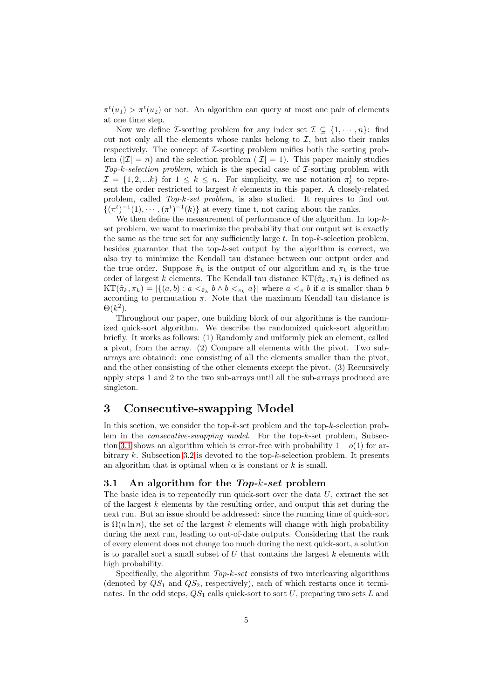$\pi^t(u_1) > \pi^t(u_2)$  or not. An algorithm can query at most one pair of elements at one time step.

Now we define *I*-sorting problem for any index set  $\mathcal{I} \subseteq \{1, \dots, n\}$ : find out not only all the elements whose ranks belong to  $I$ , but also their ranks respectively. The concept of  $\mathcal I$ -sorting problem unifies both the sorting problem ( $|Z| = n$ ) and the selection problem ( $|Z| = 1$ ). This paper mainly studies  $Top-k-selection problem$ , which is the special case of  $\mathcal{I}$ -sorting problem with  $\mathcal{I} = \{1, 2, \dots k\}$  for  $1 \leq k \leq n$ . For simplicity, we use notation  $\pi_k^t$  to represent the order restricted to largest  $k$  elements in this paper. A closely-related problem, called Top-k-set problem, is also studied. It requires to find out  $\{(\pi^t)^{-1}(1), \cdots, (\pi^t)^{-1}(k)\}\$ at every time t, not caring about the ranks.

We then define the measurement of performance of the algorithm. In top- $k$ set problem, we want to maximize the probability that our output set is exactly the same as the true set for any sufficiently large  $t$ . In top- $k$ -selection problem, besides guarantee that the top- $k$ -set output by the algorithm is correct, we also try to minimize the Kendall tau distance between our output order and the true order. Suppose  $\tilde{\pi}_k$  is the output of our algorithm and  $\pi_k$  is the true order of largest k elements. The Kendall tau distance  $KT(\tilde{\pi}_k, \pi_k)$  is defined as  $KT(\tilde{\pi}_k, \pi_k) = |\{(a, b) : a < \tilde{\pi}_k \ b \wedge b < \pi_k \ a\}|$  where  $a < \pi b$  if a is smaller than b according to permutation  $\pi$ . Note that the maximum Kendall tau distance is  $\Theta(k^2)$ .

Throughout our paper, one building block of our algorithms is the randomized quick-sort algorithm. We describe the randomized quick-sort algorithm briefly. It works as follows: (1) Randomly and uniformly pick an element, called a pivot, from the array. (2) Compare all elements with the pivot. Two subarrays are obtained: one consisting of all the elements smaller than the pivot, and the other consisting of the other elements except the pivot. (3) Recursively apply steps 1 and 2 to the two sub-arrays until all the sub-arrays produced are singleton.

## <span id="page-4-0"></span>3 Consecutive-swapping Model

In this section, we consider the top- $k$ -set problem and the top- $k$ -selection problem in the consecutive-swapping model. For the top-k-set problem, Subsec-tion [3.1](#page-4-1) shows an algorithm which is error-free with probability  $1 - o(1)$  for arbitrary k. Subsection [3.2](#page-7-0) is devoted to the top-k-selection problem. It presents an algorithm that is optimal when  $\alpha$  is constant or k is small.

#### <span id="page-4-1"></span>3.1 An algorithm for the  $Top-k\text{-}set$  problem

The basic idea is to repeatedly run quick-sort over the data  $U$ , extract the set of the largest  $k$  elements by the resulting order, and output this set during the next run. But an issue should be addressed: since the running time of quick-sort is  $\Omega(n \ln n)$ , the set of the largest k elements will change with high probability during the next run, leading to out-of-date outputs. Considering that the rank of every element does not change too much during the next quick-sort, a solution is to parallel sort a small subset of  $U$  that contains the largest  $k$  elements with high probability.

Specifically, the algorithm  $Top-k-set$  consists of two interleaving algorithms (denoted by  $QS_1$  and  $QS_2$ , respectively), each of which restarts once it terminates. In the odd steps,  $QS_1$  calls quick-sort to sort  $U$ , preparing two sets  $L$  and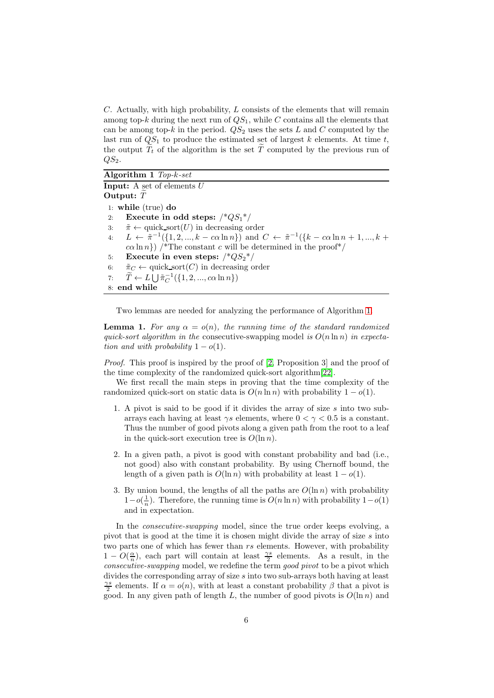$C$ . Actually, with high probability,  $L$  consists of the elements that will remain among top- $k$  during the next run of  $QS_1$ , while C contains all the elements that can be among top-k in the period.  $QS_2$  uses the sets L and C computed by the last run of  $QS_1$  to produce the estimated set of largest k elements. At time t, the output  $\tilde{T}_t$  of the algorithm is the set  $\tilde{T}$  computed by the previous run of  $QS<sub>2</sub>$ .

#### <span id="page-5-0"></span>Algorithm 1 Top-k-set Input: A set of elements U Output:  $\widetilde{T}$ 1: while (true) do 2: Execute in odd steps:  $\frac{*QS_1*}{}$ 3:  $\tilde{\pi} \leftarrow \text{quick.sort}(U)$  in decreasing order<br>4:  $L \leftarrow \tilde{\pi}^{-1}(\{1, 2, ..., k - c\alpha \ln n\})$  and ( 4:  $L \leftarrow \tilde{\pi}^{-1}(\{1, 2, ..., k - c\alpha \ln n\})$  and  $C \leftarrow \tilde{\pi}^{-1}(\{k - c\alpha \ln n + 1, ..., k + c\alpha \ln n\})$  $c\alpha \ln n$ ) /\*The constant c will be determined in the proof\*/ 5: Execute in even steps:  $\frac{8}{9}$  /\* $\frac{2}{9}$  /\* 6:  $\tilde{\pi}_C \leftarrow$  quick sort $(C)$  in decreasing order 7:  $\tilde{T} \leftarrow L \bigcup \tilde{\pi}_C^{-1}(\{1, 2, ..., c\alpha \ln n\})$ 8: end while

<span id="page-5-2"></span>Two lemmas are needed for analyzing the performance of Algorithm [1.](#page-5-0)

<span id="page-5-1"></span>**Lemma 1.** For any  $\alpha = o(n)$ , the running time of the standard randomized quick-sort algorithm in the consecutive-swapping model is  $O(n \ln n)$  in expectation and with probability  $1 - o(1)$ .

Proof. This proof is inspired by the proof of [\[2,](#page-21-0) Proposition 3] and the proof of the time complexity of the randomized quick-sort algorithm[\[22\]](#page-22-7).

We first recall the main steps in proving that the time complexity of the randomized quick-sort on static data is  $O(n \ln n)$  with probability  $1 - o(1)$ .

- 1. A pivot is said to be good if it divides the array of size s into two subarrays each having at least  $\gamma s$  elements, where  $0 < \gamma < 0.5$  is a constant. Thus the number of good pivots along a given path from the root to a leaf in the quick-sort execution tree is  $O(\ln n)$ .
- 2. In a given path, a pivot is good with constant probability and bad (i.e., not good) also with constant probability. By using Chernoff bound, the length of a given path is  $O(\ln n)$  with probability at least  $1 - o(1)$ .
- 3. By union bound, the lengths of all the paths are  $O(\ln n)$  with probability  $1-o(\frac{1}{n})$ . Therefore, the running time is  $O(n \ln n)$  with probability  $1-o(1)$ and in expectation.

In the *consecutive-swapping* model, since the true order keeps evolving, a pivot that is good at the time it is chosen might divide the array of size  $s$  into two parts one of which has fewer than rs elements. However, with probability  $1 - O(\frac{\alpha}{n})$ , each part will contain at least  $\frac{\gamma s}{2}$  elements. As a result, in the consecutive-swapping model, we redefine the term good pivot to be a pivot which divides the corresponding array of size s into two sub-arrays both having at least  $\frac{\gamma s}{2}$  elements. If  $\alpha = o(n)$ , with at least a constant probability  $\beta$  that a pivot is good. In any given path of length L, the number of good pivots is  $O(\ln n)$  and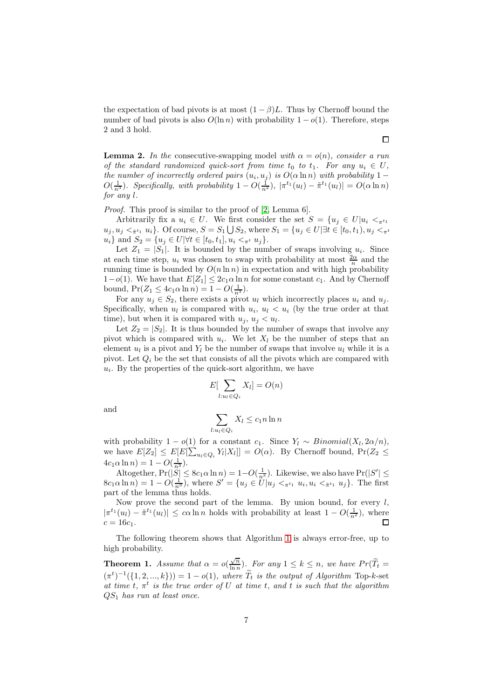the expectation of bad pivots is at most  $(1 - \beta)L$ . Thus by Chernoff bound the number of bad pivots is also  $O(\ln n)$  with probability  $1 - o(1)$ . Therefore, steps 2 and 3 hold.

<span id="page-6-0"></span>**Lemma 2.** In the consecutive-swapping model with  $\alpha = o(n)$ , consider a run of the standard randomized quick-sort from time  $t_0$  to  $t_1$ . For any  $u_i \in U$ , the number of incorrectly ordered pairs  $(u_i, u_j)$  is  $O(\alpha \ln n)$  with probability 1 –  $O(\frac{1}{n^3})$ . Specifically, with probability  $1-O(\frac{1}{n^2})$ ,  $|\pi^{t_1}(u_l)-\tilde{\pi}^{t_1}(u_l)|=O(\alpha \ln n)$ for any l.

Proof. This proof is similar to the proof of [\[2,](#page-21-0) Lemma 6].

Arbitrarily fix a  $u_i \in U$ . We first consider the set  $S = \{u_j \in U | u_i \leq_{\pi^{t_1}}\}$  $u_j, u_j < \pi t_1$   $u_i$ , Of course,  $S = S_1 \bigcup S_2$ , where  $S_1 = \{u_j \in U | \exists t \in [t_0, t_1), u_j < \pi t_1\}$  $u_i$ } and  $S_2 = \{u_j \in U | \forall t \in [t_0, t_1], u_i <_{\pi^t} u_j\}.$ 

Let  $Z_1 = |S_1|$ . It is bounded by the number of swaps involving  $u_i$ . Since at each time step,  $u_i$  was chosen to swap with probability at most  $\frac{2\alpha}{n}$  and the running time is bounded by  $O(n \ln n)$  in expectation and with high probability  $1-o(1)$ . We have that  $E[Z_1] \leq 2c_1 \alpha \ln n$  for some constant  $c_1$ . And by Chernoff bound,  $Pr(Z_1 \leq 4c_1 \alpha \ln n) = 1 - O(\frac{1}{n^3}).$ 

For any  $u_j \in S_2$ , there exists a pivot  $u_l$  which incorrectly places  $u_i$  and  $u_j$ . Specifically, when  $u_l$  is compared with  $u_i, u_l < u_i$  (by the true order at that time), but when it is compared with  $u_j, u_j < u_l$ .

Let  $Z_2 = |S_2|$ . It is thus bounded by the number of swaps that involve any pivot which is compared with  $u_i$ . We let  $X_l$  be the number of steps that an element  $u_l$  is a pivot and  $Y_l$  be the number of swaps that involve  $u_l$  while it is a pivot. Let  $Q_i$  be the set that consists of all the pivots which are compared with  $u_i$ . By the properties of the quick-sort algorithm, we have

$$
E\left[\sum_{l:u_l\in Q_i}X_l\right]=O(n)
$$

and

$$
\sum_{l: u_l \in Q_i} X_l \le c_1 n \ln n
$$

with probability  $1 - o(1)$  for a constant  $c_1$ . Since  $Y_l \sim Binomial(X_l, 2\alpha/n)$ , we have  $E[Z_2] \leq E[E[\sum_{u_l \in Q_i} Y_l | X_l]] = O(\alpha)$ . By Chernoff bound,  $Pr(Z_2 \leq$  $4c_1\alpha \ln n$  =  $1 - O(\frac{1}{n^3})$ .

Altogether,  $Pr(|S| \le 8c_1\alpha \ln n) = 1-O(\frac{1}{n^3})$ . Likewise, we also have  $Pr(|S'| \le$  $8c_1\alpha \ln n$  = 1 –  $O(\frac{1}{n^3})$ , where  $S' = \{u_j \in U | u_j \leq \pi^{t_1} u_i, u_i \leq \pi^{t_1} u_j\}$ . The first part of the lemma thus holds.

Now prove the second part of the lemma. By union bound, for every  $l$ ,  $|\pi^{t_1}(u_l) - \tilde{\pi}^{t_1}(u_l)| \leq c\alpha \ln n$  holds with probability at least  $1 - O(\frac{1}{n^2})$ , where  $c = 16c_1$ .

The following theorem shows that Algorithm [1](#page-5-0) is always error-free, up to high probability.

<span id="page-6-1"></span>**Theorem 1.** Assume that  $\alpha = o(\frac{\sqrt{n}}{\ln n})$  $\frac{\sqrt{n}}{\ln n}$ ). For any  $1 \leq k \leq n$ , we have  $Pr(T_t =$  $(\pi^t)^{-1}(\{1, 2, ..., k\})) = 1 - o(1)$ , where  $\tilde{T}_t$  is the output of Algorithm Top-k-set at time t,  $\pi^t$  is the true order of U at time t, and t is such that the algorithm QS<sup>1</sup> has run at least once.

 $\Box$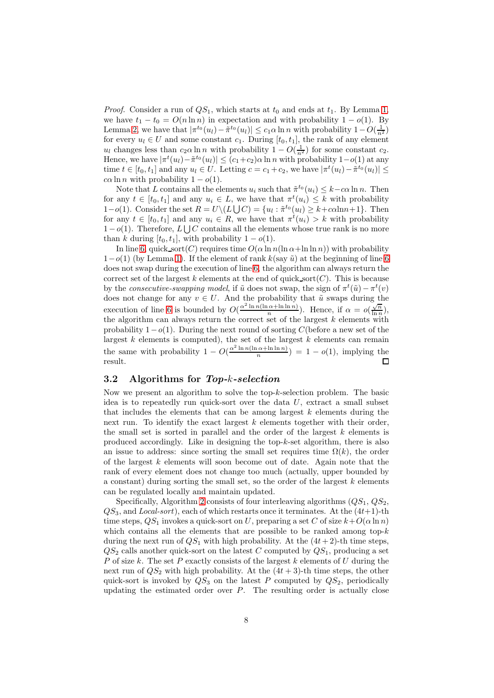*Proof.* Consider a run of  $QS_1$ , which starts at  $t_0$  and ends at  $t_1$ . By Lemma [1,](#page-5-1) we have  $t_1 - t_0 = O(n \ln n)$  in expectation and with probability  $1 - o(1)$ . By Lemma [2,](#page-6-0) we have that  $|\pi^{t_0}(u_l) - \tilde{\pi}^{t_0}(u_l)| \leq c_1 \alpha \ln n$  with probability  $1 - O(\frac{1}{n^2})$ for every  $u_l \in U$  and some constant  $c_1$ . During [ $t_0, t_1$ ], the rank of any element  $u_l$  changes less than  $c_2 \alpha \ln n$  with probability  $1 - O(\frac{1}{n^2})$  for some constant  $c_2$ . Hence, we have  $|\pi^t(u_l) - \tilde{\pi}^{t_0}(u_l)| \le (c_1 + c_2)\alpha \ln n$  with probability  $1 - o(1)$  at any time  $t \in [t_0, t_1]$  and any  $u_l \in U$ . Letting  $c = c_1 + c_2$ , we have  $|\pi^t(u_l) - \tilde{\pi}^{t_0}(u_l)| \leq$  $c\alpha \ln n$  with probability  $1 - o(1)$ .

Note that L contains all the elements  $u_i$  such that  $\tilde{\pi}^{t_0}(u_i) \leq k - c\alpha \ln n$ . Then for any  $t \in [t_0, t_1]$  and any  $u_i \in L$ , we have that  $\pi^t(u_i) \leq k$  with probability 1−o(1). Consider the set  $R = U \setminus (L \cup C) = \{u_l : \tilde{\pi}^{t_0}(u_l) \geq k + c \alpha \ln n + 1\}$ . Then for any  $t \in [t_0, t_1]$  and any  $u_i \in R$ , we have that  $\pi^t(u_i) > k$  with probability  $1-o(1)$ . Therefore,  $L \bigcup C$  contains all the elements whose true rank is no more than k during  $[t_0, t_1]$ , with probability  $1 - o(1)$ .

In line [6,](#page-5-2) quick sort(C) requires time  $O(\alpha \ln n(\ln \alpha + \ln \ln n))$  with probability  $1-o(1)$  (by Lemma [1\)](#page-5-1). If the element of rank  $k$ (say  $\tilde{u}$ ) at the beginning of line [6](#page-5-2) does not swap during the execution of line [6,](#page-5-2) the algorithm can always return the correct set of the largest k elements at the end of quick sort( $C$ ). This is because by the consecutive-swapping model, if  $\tilde{u}$  does not swap, the sign of  $\pi^t(\tilde{u}) - \pi^t(v)$ does not change for any  $v \in U$ . And the probability that  $\tilde{u}$  swaps during the execution of line [6](#page-5-2) is bounded by  $O(\frac{\alpha^2 \ln n(\ln \alpha + \ln \ln n)}{n})$  $\frac{\alpha + \ln \ln n}{n}$ ). Hence, if  $\alpha = o(\frac{\sqrt{n}}{\ln n})$  $\frac{\sqrt{n}}{\ln n}$ ), the algorithm can always return the correct set of the largest  $k$  elements with probability  $1-o(1)$ . During the next round of sorting C(before a new set of the largest  $k$  elements is computed), the set of the largest  $k$  elements can remain the same with probability  $1 - O(\frac{\alpha^2 \ln n(\ln \alpha + \ln \ln n)}{n})$  $\frac{(a+n)(n)}{n}$  = 1 –  $o(1)$ , implying the result.

#### <span id="page-7-0"></span>3.2 Algorithms for Top-k-selection

Now we present an algorithm to solve the top-k-selection problem. The basic idea is to repeatedly run quick-sort over the data  $U$ , extract a small subset that includes the elements that can be among largest  $k$  elements during the next run. To identify the exact largest  $k$  elements together with their order, the small set is sorted in parallel and the order of the largest  $k$  elements is produced accordingly. Like in designing the top- $k$ -set algorithm, there is also an issue to address: since sorting the small set requires time  $\Omega(k)$ , the order of the largest  $k$  elements will soon become out of date. Again note that the rank of every element does not change too much (actually, upper bounded by a constant) during sorting the small set, so the order of the largest  $k$  elements can be regulated locally and maintain updated.

Specifically, Algorithm [2](#page-8-0) consists of four interleaving algorithms  $(QS_1, QS_2,$  $QS<sub>3</sub>$ , and Local-sort), each of which restarts once it terminates. At the  $(4t+1)$ -th time steps,  $QS_1$  invokes a quick-sort on U, preparing a set C of size  $k+O(\alpha \ln n)$ which contains all the elements that are possible to be ranked among top- $k$ during the next run of  $QS_1$  with high probability. At the  $(4t+2)$ -th time steps,  $QS<sub>2</sub>$  calls another quick-sort on the latest C computed by  $QS<sub>1</sub>$ , producing a set P of size k. The set P exactly consists of the largest  $k$  elements of U during the next run of  $QS_2$  with high probability. At the  $(4t + 3)$ -th time steps, the other quick-sort is invoked by  $QS_3$  on the latest P computed by  $QS_2$ , periodically updating the estimated order over  $P$ . The resulting order is actually close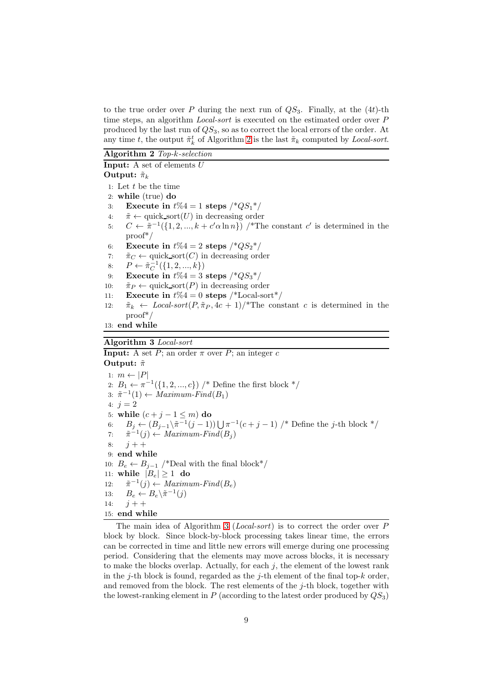to the true order over P during the next run of  $QS_3$ . Finally, at the  $(4t)$ -th time steps, an algorithm *Local-sort* is executed on the estimated order over P produced by the last run of  $QS_3$ , so as to correct the local errors of the order. At any time t, the output  $\tilde{\pi}_k^t$  of Algorithm [2](#page-8-0) is the last  $\tilde{\pi}_k$  computed by *Local-sort*.

<span id="page-8-0"></span>Algorithm 2 Top-k-selection

**Input:** A set of elements  $U$ Output:  $\tilde{\pi}_k$ 1: Let  $t$  be the time 2: while (true) do 3: Execute in  $t\%4 = 1$  steps  $\frac{*QS_1*}{}$ 4:  $\tilde{\pi} \leftarrow \text{quick.sort}(U)$  in decreasing order<br>5:  $C \leftarrow \tilde{\pi}^{-1}(\{1, 2, ..., k + c' \alpha \ln n\})$  /\*Th 5:  $C \leftarrow \tilde{\pi}^{-1}(\{1, 2, ..., k + c'\alpha \ln n\})$  /\*The constant c' is determined in the proof\*/ 6: Execute in  $t\%4 = 2$  steps  $\frac{*QS_2^*}{}$ 7:  $\tilde{\pi}_C \leftarrow$  quick sort $(C)$  in decreasing order 8:  $P \leftarrow \tilde{\pi}_C^{-1}(\{1, 2, ..., k\})$ 9: Execute in  $t\%4 = 3$  steps  $\frac{*QS_3*}{}$ 10:  $\tilde{\pi}_P \leftarrow \text{quick.sort}(P)$  in decreasing order<br>11: **Execute in**  $t\%4 = 0$  **steps** /\*Local-son Execute in  $t\%4 = 0$  steps /\*Local-sort\*/ 12:  $\tilde{\pi}_k \leftarrow Local-sort(P, \tilde{\pi}_P, 4c + 1)/*$ The constant c is determined in the proof\*/

13: end while

<span id="page-8-1"></span>Algorithm 3 Local-sort

**Input:** A set P; an order  $\pi$  over P; an integer c Output:  $\tilde{\pi}$ 1:  $m \leftarrow |P|$ 2:  $B_1 \leftarrow \pi^{-1}(\{1, 2, ..., c\})$  /\* Define the first block \*/ 3:  $\tilde{\pi}^{-1}(1) \leftarrow Maximum\text{-}Find(B_1)$ 4:  $i = 2$ 5: while  $(c + j - 1 \le m)$  do<br>6:  $B_i \leftarrow (B_{i-1}) \tilde{\pi}^{-1} (i - 1)$ 6:  $B_j \leftarrow (B_{j-1} \setminus \tilde{\pi}^{-1}(j-1)) \bigcup \pi^{-1}(c+j-1)$  /\* Define the j-th block \*/ 7:  $\tilde{\pi}^{-1}(j) \leftarrow Maximum\text{-}Find(B_j)$  $8: i + +$ 9: end while 10:  $B_e \leftarrow B_{j-1}$  /\*Deal with the final block\*/ 11: while  $|B_e| \ge 1$  do  $12:$  $f^{-1}(j) \leftarrow Maximum\text{-}Find(B_e)$ 13:  $B_e \leftarrow B_e \setminus \tilde{\pi}^{-1}(j)$ 14:  $j + +$ 15: end while

The main idea of Algorithm [3](#page-8-1) (Local-sort) is to correct the order over P block by block. Since block-by-block processing takes linear time, the errors can be corrected in time and little new errors will emerge during one processing period. Considering that the elements may move across blocks, it is necessary to make the blocks overlap. Actually, for each  $j$ , the element of the lowest rank in the j-th block is found, regarded as the j-th element of the final top- $k$  order, and removed from the block. The rest elements of the  $j$ -th block, together with the lowest-ranking element in P (according to the latest order produced by  $OS_3$ )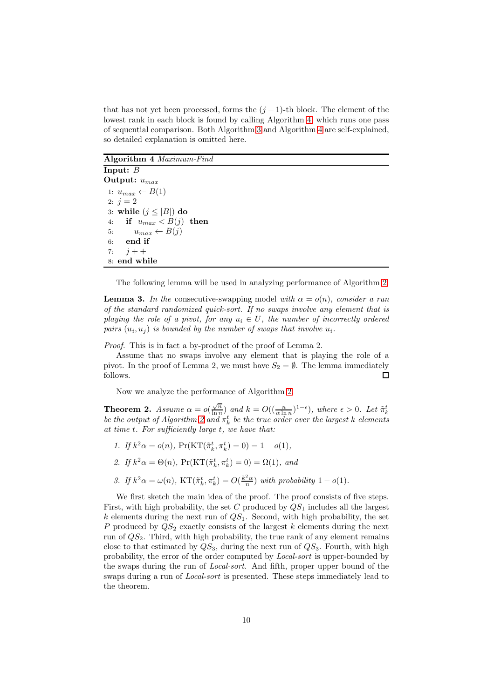that has not yet been processed, forms the  $(j+1)$ -th block. The element of the lowest rank in each block is found by calling Algorithm [4,](#page-9-0) which runs one pass of sequential comparison. Both Algorithm [3](#page-8-1) and Algorithm [4](#page-9-0) are self-explained, so detailed explanation is omitted here.

<span id="page-9-0"></span>Algorithm 4 Maximum-Find

Input: B Output:  $u_{max}$ 1:  $u_{max} \leftarrow B(1)$ 2:  $j = 2$ 3: while  $(j \leq |B|)$  do<br>4: if  $y_{\text{max}} < B(i)$ if  $u_{max} < B(j)$  then 5:  $u_{max} \leftarrow B(j)$ <br>6: **end if** end if 7:  $i + +$ 8: end while

The following lemma will be used in analyzing performance of Algorithm [2.](#page-8-0)

<span id="page-9-1"></span>**Lemma 3.** In the consecutive-swapping model with  $\alpha = o(n)$ , consider a run of the standard randomized quick-sort. If no swaps involve any element that is playing the role of a pivot, for any  $u_i \in U$ , the number of incorrectly ordered pairs  $(u_i, u_j)$  is bounded by the number of swaps that involve  $u_i$ .

Proof. This is in fact a by-product of the proof of Lemma 2.

Assume that no swaps involve any element that is playing the role of a pivot. In the proof of Lemma 2, we must have  $S_2 = \emptyset$ . The lemma immediately follows. follows.

Now we analyze the performance of Algorithm [2.](#page-8-0)

<span id="page-9-2"></span>**Theorem 2.** Assume  $\alpha = o(\frac{\sqrt{n}}{\ln n})$ **Theorem [2](#page-8-0).** Assume  $\alpha = o(\frac{\sqrt{n}}{\ln n})$  and  $k = O((\frac{n}{\alpha \ln n})^{1-\epsilon})$ , where  $\epsilon > 0$ . Let  $\tilde{\pi}_k^t$  be the output of Algorithm 2 and  $\pi_k^t$  be the true order over the largest k elements at time t. For sufficiently large t, we have that:

- 1. If  $k^2 \alpha = o(n)$ ,  $Pr(KT(\tilde{\pi}_k^t, \pi_k^t) = 0) = 1 o(1)$ ,
- 2. If  $k^2 \alpha = \Theta(n)$ ,  $\Pr(\mathrm{KT}(\tilde{\pi}_k^t, \pi_k^t) = 0) = \Omega(1)$ , and
- 3. If  $k^2 \alpha = \omega(n)$ ,  $KT(\tilde{\pi}_k^t, \pi_k^t) = O(\frac{k^2 \alpha}{n})$  with probability  $1 o(1)$ .

We first sketch the main idea of the proof. The proof consists of five steps. First, with high probability, the set C produced by  $QS<sub>1</sub>$  includes all the largest  $k$  elements during the next run of  $QS<sub>1</sub>$ . Second, with high probability, the set P produced by  $QS_2$  exactly consists of the largest  $k$  elements during the next run of  $QS<sub>2</sub>$ . Third, with high probability, the true rank of any element remains close to that estimated by  $QS_3$ , during the next run of  $QS_3$ . Fourth, with high probability, the error of the order computed by Local-sort is upper-bounded by the swaps during the run of Local-sort. And fifth, proper upper bound of the swaps during a run of Local-sort is presented. These steps immediately lead to the theorem.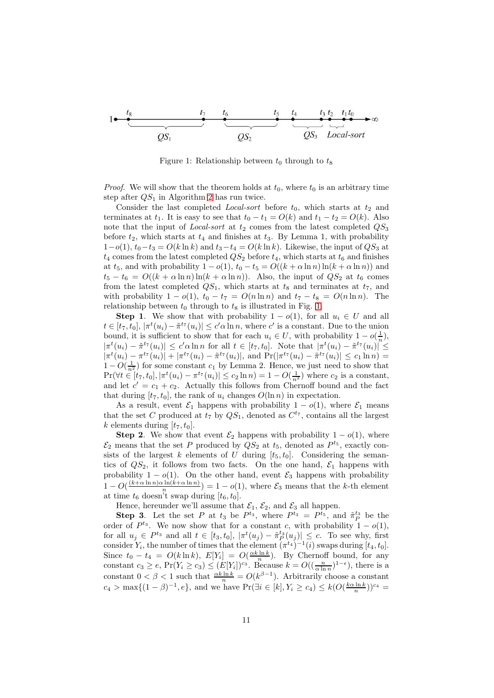<span id="page-10-0"></span>Figure 1: Relationship between  $t_0$  through to  $t_8$ 

*Proof.* We will show that the theorem holds at  $t_0$ , where  $t_0$  is an arbitrary time step after  $QS_1$  in Algorithm [2](#page-8-0) has run twice.

Consider the last completed *Local-sort* before  $t_0$ , which starts at  $t_2$  and terminates at  $t_1$ . It is easy to see that  $t_0 - t_1 = O(k)$  and  $t_1 - t_2 = O(k)$ . Also note that the input of *Local-sort* at  $t_2$  comes from the latest completed  $QS_3$ before  $t_2$ , which starts at  $t_4$  and finishes at  $t_3$ . By Lemma 1, with probability  $1-o(1)$ ,  $t_0-t_3 = O(k \ln k)$  and  $t_3-t_4 = O(k \ln k)$ . Likewise, the input of  $QS_3$  at  $t_4$  comes from the latest completed  $QS_2$  before  $t_4$ , which starts at  $t_6$  and finishes at  $t_5$ , and with probability  $1 - o(1)$ ,  $t_0 - t_5 = O((k + \alpha \ln n) \ln(k + \alpha \ln n))$  and  $t_5 - t_6 = O((k + \alpha \ln n) \ln(k + \alpha \ln n))$ . Also, the input of  $QS_2$  at  $t_6$  comes from the latest completed  $QS_1$ , which starts at  $t_8$  and terminates at  $t_7$ , and with probability  $1 - o(1)$ ,  $t_0 - t_7 = O(n \ln n)$  and  $t_7 - t_8 = O(n \ln n)$ . The relationship between  $t_0$  through to  $t_8$  is illustrated in Fig. [1.](#page-10-0)

**Step 1.** We show that with probability  $1 - o(1)$ , for all  $u_i \in U$  and all  $t \in [t_7, t_0], |\pi^t(u_i) - \tilde{\pi}^{t_7}(u_i)| \leq c' \alpha \ln n$ , where  $c'$  is a constant. Due to the union bound, it is sufficient to show that for each  $u_i \in U$ , with probability  $1 - o(\frac{1}{n})$ ,  $|\pi^t(u_i) - \tilde{\pi}^{t_7}(u_i)| \leq c' \alpha \ln n$  for all  $t \in [t_7, t_0]$ . Note that  $|\pi^t(u_i) - \tilde{\pi}^{t_7}(u_i)| \leq$  $|\pi^t(u_i) - \pi^{t_7}(u_i)| + |\pi^{t_7}(u_i) - \tilde{\pi}^{t_7}(u_i)|$ , and  $Pr(|\pi^{t_7}(u_i) - \tilde{\pi}^{t_7}(u_i)| \leq c_1 \ln n)$  $1 - O(\frac{1}{n^2})$  for some constant  $c_1$  by Lemma 2. Hence, we just need to show that  $Pr(\forall t \in [t_7, t_0], |\pi^t(u_i) - \pi^{t_7}(u_i)| \le c_2 \ln n) = 1 - O(\frac{1}{n^2})$  where  $c_2$  is a constant, and let  $c' = c_1 + c_2$ . Actually this follows from Chernoff bound and the fact that during  $[t_7, t_0]$ , the rank of  $u_i$  changes  $O(\ln n)$  in expectation.

As a result, event  $\mathcal{E}_1$  happens with probability  $1 - o(1)$ , where  $\mathcal{E}_1$  means that the set C produced at  $t_7$  by  $QS_1$ , denoted as  $C^{t_7}$ , contains all the largest k elements during  $[t_7, t_0]$ .

**Step 2.** We show that event  $\mathcal{E}_2$  happens with probability  $1 - o(1)$ , where  $\mathcal{E}_2$  means that the set P produced by  $QS_2$  at  $t_5$ , denoted as  $P^{t_5}$ , exactly consists of the largest k elements of U during  $[t_5, t_0]$ . Considering the semantics of  $QS_2$ , it follows from two facts. On the one hand,  $\mathcal{E}_1$  happens with probability  $1 - o(1)$ . On the other hand, event  $\mathcal{E}_3$  happens with probability  $1 - O\left(\frac{(k+\alpha\ln n)\alpha\ln(k+\alpha\ln n)}{n}\right)$  $\binom{n}{n}$  = 1 – o(1), where  $\mathcal{E}_3$  means that the k-th element at time  $t_6$  doesn't swap during  $[t_6, t_0]$ .

Hence, hereunder we'll assume that  $\mathcal{E}_1$ ,  $\mathcal{E}_2$ , and  $\mathcal{E}_3$  all happen.

**Step 3.** Let the set P at  $t_3$  be  $P^{t_3}$ , where  $P^{t_3} = P^{t_5}$ , and  $\tilde{\pi}_P^{t_3}$  be the order of  $P^{t_3}$ . We now show that for a constant c, with probability  $1 - o(1)$ , for all  $u_j \in P^{t_3}$  and all  $t \in [t_3, t_0], |\pi^t(u_j) - \tilde{\pi}_P^{t_3}(u_j)| \leq c$ . To see why, first consider  $Y_i$ , the number of times that the element  $(\pi^{t_4})^{-1}(i)$  swaps during  $[t_4, t_0]$ . Since  $t_0 - t_4 = O(k \ln k)$ ,  $E[Y_i] = O(\frac{\alpha k \ln k}{n})$ . By Chernoff bound, for any constant  $c_3 \ge e$ ,  $Pr(Y_i \ge c_3) \le (E[Y_i])^{c_3}$ . Because  $k = O((\frac{n}{\alpha \ln n})^{1-\epsilon})$ , there is a constant  $0 < \beta < 1$  such that  $\frac{\alpha k \ln k}{n} = O(k^{\beta-1})$ . Arbitrarily choose a constant  $c_4 > \max\{(1-\beta)^{-1}, e\}$ , and we have  $\Pr(\exists i \in [k], Y_i \ge c_4) \le k(O(\frac{k\alpha \ln k}{n}))^{c_4}$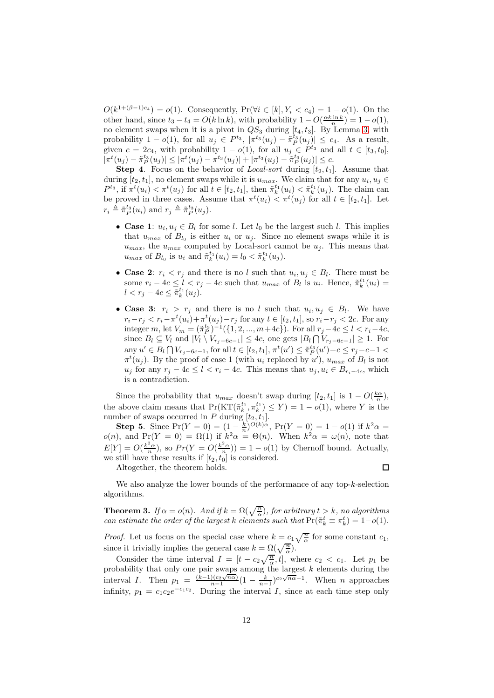$O(k^{1+(\beta-1)c_4}) = o(1)$ . Consequently,  $Pr(\forall i \in [k], Y_i < c_4) = 1 - o(1)$ . On the other hand, since  $t_3 - t_4 = O(k \ln k)$ , with probability  $1 - O(\frac{\alpha k \ln k}{n}) = 1 - o(1)$ , no element swaps when it is a pivot in  $QS_3$  during  $[t_4, t_3]$ . By Lemma [3,](#page-9-1) with probability  $1 - o(1)$ , for all  $u_j \in P^{t_3}$ ,  $|\pi^{t_3}(u_j) - \tilde{\pi}_P^{t_3}(u_j)| \leq c_4$ . As a result, given  $c = 2c_4$ , with probability  $1 - o(1)$ , for all  $u_j \in P^{t_3}$  and all  $t \in [t_3, t_0]$ ,  $|\pi^t(u_j)-\tilde{\pi}_P^{t_3}(u_j)|\leq |\pi^t(u_j)-\pi^{t_3}(u_j)|+|\pi^{t_3}(u_j)-\tilde{\pi}_P^{t_3}(u_j)|\leq c.$ 

**Step 4.** Focus on the behavior of *Local-sort* during  $[t_2, t_1]$ . Assume that during  $[t_2, t_1]$ , no element swaps while it is  $u_{max}$ . We claim that for any  $u_i, u_j \in$  $P^{t_3}$ , if  $\pi^t(u_i) < \pi^t(u_j)$  for all  $t \in [t_2, t_1]$ , then  $\tilde{\pi}_k^{t_1}(u_i) < \tilde{\pi}_k^{t_1}(u_j)$ . The claim can be proved in three cases. Assume that  $\pi^t(u_i) < \pi^t(u_j)$  for all  $t \in [t_2, t_1]$ . Let  $r_i \triangleq \tilde{\pi}_P^{t_3}(u_i)$  and  $r_j \triangleq \tilde{\pi}_P^{t_3}(u_j)$ .

- Case 1:  $u_i, u_j \in B_l$  for some *l*. Let  $l_0$  be the largest such *l*. This implies that  $u_{max}$  of  $B_{l_0}$  is either  $u_i$  or  $u_j$ . Since no element swaps while it is  $u_{max}$ , the  $u_{max}$  computed by Local-sort cannot be  $u_i$ . This means that  $u_{max}$  of  $B_{l_0}$  is  $u_i$  and  $\tilde{\pi}_k^{t_1}(u_i) = l_0 < \tilde{\pi}_k^{t_1}(u_j)$ .
- Case 2:  $r_i < r_j$  and there is no l such that  $u_i, u_j \in B_l$ . There must be some  $r_i - 4c \leq l < r_j - 4c$  such that  $u_{max}$  of  $B_l$  is  $u_i$ . Hence,  $\tilde{\pi}_k^{t_1}(u_i) =$  $l < r_j - 4c \leq \tilde{\pi}_k^{t_1}(u_j).$
- Case 3:  $r_i > r_j$  and there is no l such that  $u_i, u_j \in B_l$ . We have  $r_i - r_j < r_i - \pi^t(u_i) + \pi^t(u_j) - r_j$  for any  $t \in [t_2, t_1]$ , so  $r_i - r_j < 2c$ . For any integer m, let  $V_m = (\tilde{\pi}_P^{t_3})^{-1}(\{1, 2, ..., m+4c\})$ . For all  $r_j - 4c \le l < r_i - 4c$ , since  $B_l \subseteq V_l$  and  $|V_l \setminus V_{r_j-6c-1}| \leq 4c$ , one gets  $|B_l \bigcap V_{r_j-6c-1}| \geq 1$ . For any  $u' \in B_l \cap V_{r_j-6c-1}$ , for all  $t \in [t_2, t_1]$ ,  $\pi^t(u') \leq \tilde{\pi}_P^{t_3}(u') + c \leq r_j - c - 1$  $\pi^t(u_j)$ . By the proof of case 1 (with  $u_i$  replaced by u'),  $u_{max}$  of  $B_l$  is not  $u_j$  for any  $r_j - 4c \leq l < r_i - 4c$ . This means that  $u_j, u_i \in B_{r_i-4c}$ , which is a contradiction.

Since the probability that  $u_{max}$  doesn't swap during  $[t_2, t_1]$  is  $1 - O(\frac{k\alpha}{n}),$ the above claim means that  $Pr(KT(\tilde{\pi}_k^{t_1}, \pi_k^{t_1}) \leq Y) = 1 - o(1)$ , where Y is the number of swaps occurred in P during  $[t_2, t_1]$ .

Step 5. Since  $Pr(Y = 0) = (1 - \frac{k}{n})^{O(k)\alpha}$ ,  $Pr(Y = 0) = 1 - o(1)$  if  $k^2\alpha =$  $o(n)$ , and  $Pr(Y = 0) = \Omega(1)$  if  $k^2 \alpha = \Theta(n)$ . When  $k^2 \alpha = \omega(n)$ , note that  $E[Y] = O(\frac{k^2\alpha}{n})$ , so  $Pr(Y = O(\frac{k^2\alpha}{n})) = 1 - o(1)$  by Chernoff bound. Actually, we still have these results if  $[t_2, t_0]$  is considered.

Altogether, the theorem holds.

 $\Box$ 

We also analyze the lower bounds of the performance of any top-k-selection algorithms.

<span id="page-11-0"></span>**Theorem 3.** If  $\alpha = o(n)$ . And if  $k = \Omega(\sqrt{\frac{n}{\alpha}})$ , for arbitrary  $t > k$ , no algorithms can estimate the order of the largest k elements such that  $Pr(\tilde{\pi}_k^t \equiv \pi_k^t) = 1 - o(1)$ .

*Proof.* Let us focus on the special case where  $k = c_1 \sqrt{\frac{n}{\alpha}}$  for some constant  $c_1$ , since it trivially implies the general case  $k = \Omega(\sqrt{\frac{n}{\alpha}})$ .

Consider the time interval  $I = [t - c_2 \sqrt{\frac{n}{\alpha}}, t]$ , where  $c_2 < c_1$ . Let  $p_1$  be probability that only one pair swaps among the largest  $k$  elements during the interval I. Then  $p_1 = \frac{\left(k-1\right)\left(c_2\sqrt{n\alpha}\right)}{n-1}$  $\frac{\sqrt{(c_2\sqrt{n\alpha})}}{n-1}(1-\frac{k}{n-1})^{c_2\sqrt{n\alpha}-1}$ . When *n* approaches infinity,  $p_1 = c_1 c_2 e^{-c_1 c_2}$ . During the interval I, since at each time step only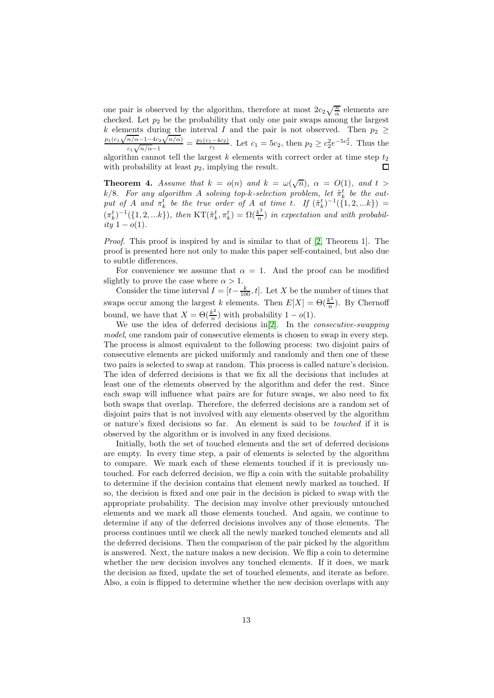one pair is observed by the algorithm, therefore at most  $2c_2\sqrt{\frac{n}{\alpha}}$  elements are checked. Let  $p_2$  be the probability that only one pair swaps among the largest k elements during the interval I and the pair is not observed. Then  $p_2 \geq$  $\frac{p_1(c_1\sqrt{n/\alpha-1-4c_2}\sqrt{n/\alpha})}{c_1\sqrt{n/\alpha-1}} = \frac{p_1(c_1-4c_2)}{c_1}$ . Let  $c_1 = 5c_2$ , then  $p_2 \geq c_2^2 e^{-5c_2^2}$ . Thus the  $c_1\sqrt{n/\alpha-1}$ algorithm cannot tell the largest  $k$  elements with correct order at time step  $t_2$ with probability at least  $p_2$ , implying the result.  $\Box$ 

<span id="page-12-0"></span>**Theorem 4.** Assume that  $k = o(n)$  and  $k = \omega(\sqrt{n})$ ,  $\alpha = O(1)$ , and  $t >$ k/8. For any algorithm A solving top-k-selection problem, let  $\tilde{\pi}_k^t$  be the output of A and  $\pi_k^t$  be the true order of A at time t. If  $(\tilde{\pi}_k^t)^{-1}(\{1, 2, ...k\}) =$  $(\pi_k^t)^{-1}(\{1, 2, ...k\}), \text{ then } KT(\tilde{\pi}_k^t, \pi_k^t) = \Omega(\frac{k^2}{n})$  $\frac{\kappa^2}{n}$ ) in expectation and with probabil*ity* 1 −  $o(1)$ .

Proof. This proof is inspired by and is similar to that of [\[2,](#page-21-0) Theorem 1]. The proof is presented here not only to make this paper self-contained, but also due to subtle differences.

For convenience we assume that  $\alpha = 1$ . And the proof can be modified slightly to prove the case where  $\alpha > 1$ .

Consider the time interval  $I = [t - \frac{k}{100}, t]$ . Let X be the number of times that swaps occur among the largest k elements. Then  $E[X] = \Theta(\frac{k^2}{n})$  $\frac{\varepsilon}{n}$ ). By Chernoff bound, we have that  $X = \Theta(\frac{k^2}{n})$  $\frac{\varepsilon}{n}$ ) with probability  $1 - o(1)$ .

We use the idea of deferred decisions in[\[2\]](#page-21-0). In the consecutive-swapping model, one random pair of consecutive elements is chosen to swap in every step. The process is almost equivalent to the following process: two disjoint pairs of consecutive elements are picked uniformly and randomly and then one of these two pairs is selected to swap at random. This process is called nature's decision. The idea of deferred decisions is that we fix all the decisions that includes at least one of the elements observed by the algorithm and defer the rest. Since each swap will influence what pairs are for future swaps, we also need to fix both swaps that overlap. Therefore, the deferred decisions are a random set of disjoint pairs that is not involved with any elements observed by the algorithm or nature's fixed decisions so far. An element is said to be touched if it is observed by the algorithm or is involved in any fixed decisions.

Initially, both the set of touched elements and the set of deferred decisions are empty. In every time step, a pair of elements is selected by the algorithm to compare. We mark each of these elements touched if it is previously untouched. For each deferred decision, we flip a coin with the suitable probability to determine if the decision contains that element newly marked as touched. If so, the decision is fixed and one pair in the decision is picked to swap with the appropriate probability. The decision may involve other previously untouched elements and we mark all those elements touched. And again, we continue to determine if any of the deferred decisions involves any of those elements. The process continues until we check all the newly marked touched elements and all the deferred decisions. Then the comparison of the pair picked by the algorithm is answered. Next, the nature makes a new decision. We flip a coin to determine whether the new decision involves any touched elements. If it does, we mark the decision as fixed, update the set of touched elements, and iterate as before. Also, a coin is flipped to determine whether the new decision overlaps with any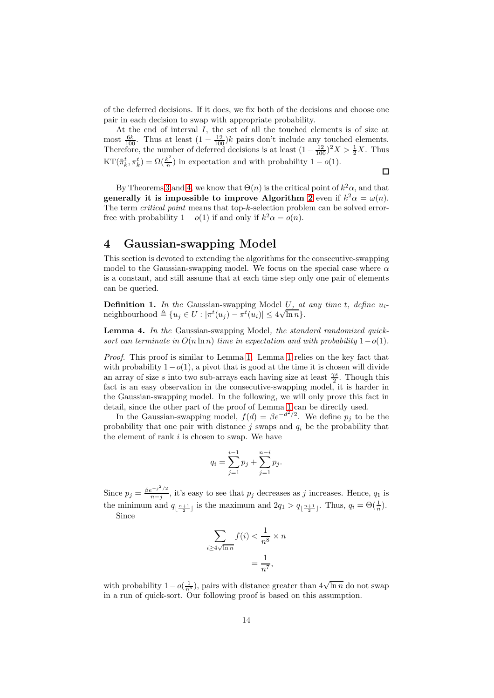of the deferred decisions. If it does, we fix both of the decisions and choose one pair in each decision to swap with appropriate probability.

At the end of interval I, the set of all the touched elements is of size at most  $\frac{6k}{100}$ . Thus at least  $(1 - \frac{12}{100})k$  pairs don't include any touched elements. Therefore, the number of deferred decisions is at least  $(1 - \frac{12}{100})^2 X > \frac{1}{2} X$ . Thus  $\mathrm{KT}(\tilde{\pi}_k^t, \pi_k^t) = \Omega(\frac{k^2}{n})$  $\frac{\varepsilon^2}{n}$ ) in expectation and with probability  $1 - o(1)$ .

 $\Box$ 

By Theorems [3](#page-11-0) and [4,](#page-12-0) we know that  $\Theta(n)$  is the critical point of  $k^2\alpha$ , and that generally it is impossible to improve Algorithm [2](#page-8-0) even if  $k^2 \alpha = \omega(n)$ . The term *critical point* means that top-k-selection problem can be solved errorfree with probability  $1 - o(1)$  if and only if  $k^2 \alpha = o(n)$ .

# <span id="page-13-0"></span>4 Gaussian-swapping Model

This section is devoted to extending the algorithms for the consecutive-swapping model to the Gaussian-swapping model. We focus on the special case where  $\alpha$ is a constant, and still assume that at each time step only one pair of elements can be queried.

**Definition 1.** In the Gaussian-swapping Model U, at any time t, define  $u_i$ -Definition 1. The substantial subspace of  $\frac{d}{dt}$  is the substantial subspace of  $\frac{d}{dt}$  is the subspace of  $\frac{d}{dt}$  is the subspace of  $\frac{d}{dt}$  is the subspace of  $\frac{d}{dt}$  is the subspace of  $\frac{d}{dt}$  is the subsp

<span id="page-13-1"></span>Lemma 4. In the Gaussian-swapping Model, the standard randomized quicksort can terminate in  $O(n \ln n)$  time in expectation and with probability  $1-o(1)$ .

Proof. This proof is similar to Lemma [1.](#page-5-1) Lemma [1](#page-5-1) relies on the key fact that with probability  $1-o(1)$ , a pivot that is good at the time it is chosen will divide an array of size s into two sub-arrays each having size at least  $\frac{\gamma s}{2}$ . Though this fact is an easy observation in the consecutive-swapping model, it is harder in the Gaussian-swapping model. In the following, we will only prove this fact in detail, since the other part of the proof of Lemma [1](#page-5-1) can be directly used.

In the Gaussian-swapping model,  $f(d) = \beta e^{-d^2/2}$ . We define  $p_j$  to be the probability that one pair with distance  $j$  swaps and  $q_i$  be the probability that the element of rank  $i$  is chosen to swap. We have

$$
q_i = \sum_{j=1}^{i-1} p_j + \sum_{j=1}^{n-i} p_j.
$$

Since  $p_j = \frac{\beta e^{-j^2/2}}{n-j}$  $\frac{1}{n-j}$ , it's easy to see that  $p_j$  decreases as j increases. Hence,  $q_1$  is the minimum and  $q_{\lfloor \frac{n+1}{2} \rfloor}$  is the maximum and  $2q_1 > q_{\lfloor \frac{n+1}{2} \rfloor}$ . Thus,  $q_i = \Theta(\frac{1}{n})$ . Since

$$
\sum_{i \ge 4\sqrt{\ln n}} f(i) < \frac{1}{n^8} \times n
$$
\n
$$
= \frac{1}{n^7},
$$

with probability  $1-o(\frac{1}{n^5})$ , pairs with distance greater than  $4\sqrt{\ln n}$  do not swap in a run of quick-sort. Our following proof is based on this assumption.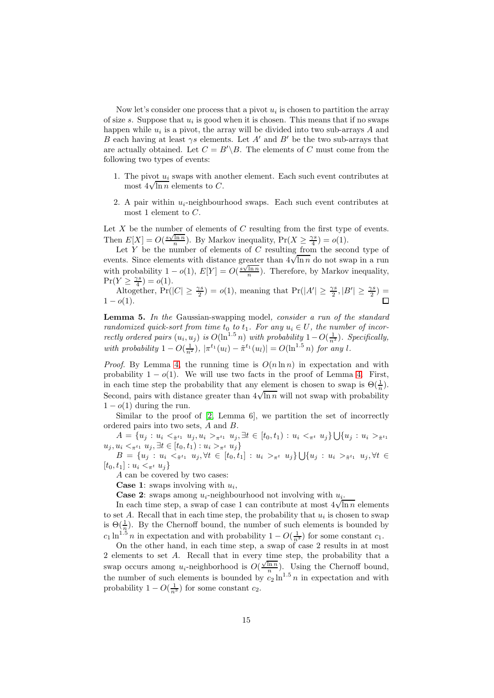Now let's consider one process that a pivot  $u_i$  is chosen to partition the array of size  $s$ . Suppose that  $u_i$  is good when it is chosen. This means that if no swaps happen while  $u_i$  is a pivot, the array will be divided into two sub-arrays A and B each having at least  $\gamma s$  elements. Let A' and B' be the two sub-arrays that are actually obtained. Let  $C = B'\Bigr\setminus B$ . The elements of C must come from the following two types of events:

- 1. The pivot  $u_i$  swaps with another element. Each such event contributes at  $\frac{1}{2} \text{ mod } \frac{1}{2}$  was not  $\frac{1}{2} \sqrt{\ln n}$  elements to C.
- 2. A pair within  $u_i$ -neighbourhood swaps. Each such event contributes at most 1 element to  $C$ .

Let  $X$  be the number of elements of  $C$  resulting from the first type of events. Then  $E[X] = O(\frac{s\sqrt{\ln n}}{n})$ . By Markov inequality,  $Pr(X \geq \frac{\gamma s}{4}) = o(1)$ .

Let  $\overline{Y}$  be the number of elements of  $\overline{C}$  resulting from the second type of events. Since elements with distance greater than  $4\sqrt{\ln n}$  do not swap in a run with probability  $1 - o(1)$ ,  $E[Y] = O(\frac{s\sqrt{\ln n}}{n})$ . Therefore, by Markov inequality,  $Pr(Y \geq \frac{\gamma s}{4}) = o(1).$ 

Altogether,  $Pr(|C| \ge \frac{\gamma s}{2}) = o(1)$ , meaning that  $Pr(|A'| \ge \frac{\gamma s}{2}, |B'| \ge \frac{\gamma s}{2}) =$  $1 - o(1)$ .  $\Box$ 

<span id="page-14-0"></span>Lemma 5. In the Gaussian-swapping model, consider a run of the standard randomized quick-sort from time  $t_0$  to  $t_1$ . For any  $u_i \in U$ , the number of incorrectly ordered pairs  $(u_i, u_j)$  is  $O(\ln^{1.5} n)$  with probability  $1-O(\frac{1}{n^3})$ . Specifically, with probability  $1 - O(\frac{1}{n^2})$ ,  $|\pi^{t_1}(u_l) - \tilde{\pi}^{t_1}(u_l)| = O(\ln^{1.5} n)$  for any l.

*Proof.* By Lemma [4,](#page-13-1) the running time is  $O(n \ln n)$  in expectation and with probability  $1 - o(1)$ . We will use two facts in the proof of Lemma [4.](#page-13-1) First, in each time step the probability that any element is chosen to swap is  $\Theta(\frac{1}{n})$ . Second, pairs with distance greater than  $4\sqrt{\ln n}$  will not swap with probability  $1 - o(1)$  during the run.

Similar to the proof of  $[2, \text{ Lemma 6}],$  we partition the set of incorrectly ordered pairs into two sets, A and B.

 $A = \{u_j : u_i < \pi^{t_1} u_j, u_i > \pi^{t_1} u_j, \exists t \in [t_0, t_1) : u_i < \pi^{t_1} u_j\} \bigcup \{u_j : u_i > \pi^{t_1} u_j\}$  $u_j, u_i <_{\pi^{t_1}} u_j, \exists t \in [t_0, t_1) : u_i >_{\pi^{t}} u_j \}$  $B = \{u_j : u_i \leq \pi^{t_1} \mid u_j, \forall t \in [t_0, t_1] : u_i >_{\pi^t} u_j \} \bigcup \{u_j : u_i >_{\tilde{\pi}^{t_1}} u_j, \forall t \in [t_0, t_1] : u_i >_{\tilde{\pi}^{t_1}} u_j \}$ 

 $[t_0, t_1]$ :  $u_i <_{\pi^t} u_j$ 

A can be covered by two cases:

**Case 1:** swaps involving with  $u_i$ ,

**Case 2:** swaps among  $u_i$ -neighbourhood not involving with  $u_i$ .

In each time step, a swap of case 1 can contribute at most  $4\sqrt{\ln n}$  elements to set A. Recall that in each time step, the probability that  $u_i$  is chosen to swap is  $\Theta(\frac{1}{n})$ . By the Chernoff bound, the number of such elements is bounded by  $c_1 \ln^{1.5} n$  in expectation and with probability  $1 - O(\frac{1}{n^3})$  for some constant  $c_1$ .

On the other hand, in each time step, a swap of case 2 results in at most 2 elements to set A. Recall that in every time step, the probability that a swap occurs among  $u_i$ -neighborhood is  $O(\frac{\sqrt{\ln n}}{n})$ . Using the Chernoff bound, the number of such elements is bounded by  $c_2 \ln^{1.5} n$  in expectation and with probability  $1 - O(\frac{1}{n^3})$  for some constant  $c_2$ .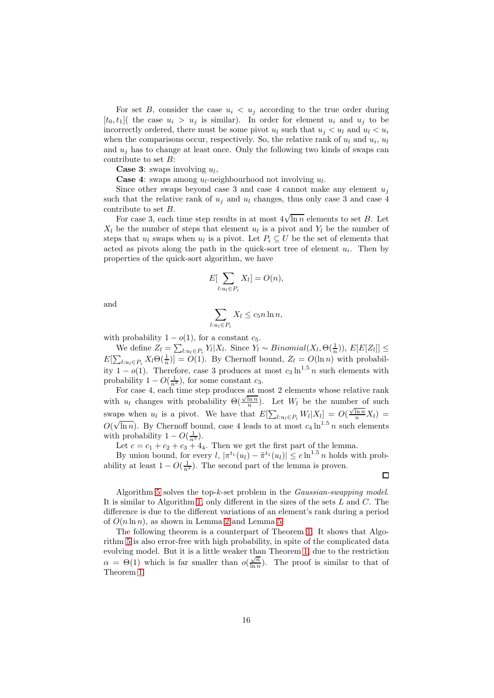For set B, consider the case  $u_i < u_j$  according to the true order during  $[t_0, t_1]$  the case  $u_i > u_j$  is similar). In order for element  $u_i$  and  $u_j$  to be incorrectly ordered, there must be some pivot  $u_l$  such that  $u_j < u_l$  and  $u_l < u_i$ when the comparisons occur, respectively. So, the relative rank of  $u_l$  and  $u_i$ ,  $u_l$ and  $u_i$  has to change at least once. Only the following two kinds of swaps can contribute to set B:

**Case 3:** swaps involving  $u_l$ ,

**Case 4:** swaps among  $u_l$ -neighbourhood not involving  $u_l$ .

Since other swaps beyond case 3 and case 4 cannot make any element  $u_j$ such that the relative rank of  $u_i$  and  $u_l$  changes, thus only case 3 and case 4 contribute to set B.

For case 3, each time step results in at most  $4\sqrt{\ln n}$  elements to set B. Let  $X_l$  be the number of steps that element  $u_l$  is a pivot and  $Y_l$  be the number of steps that  $u_l$  swaps when  $u_l$  is a pivot. Let  $P_i \subseteq U$  be the set of elements that acted as pivots along the path in the quick-sort tree of element  $u_i$ . Then by properties of the quick-sort algorithm, we have

$$
E[\sum_{l: u_l \in P_i} X_l] = O(n),
$$

and

$$
\sum_{l: u_l \in P_i} X_l \le c_5 n \ln n,
$$

with probability  $1 - o(1)$ , for a constant  $c_5$ .

We define  $Z_l = \sum_{l: u_l \in P_i} Y_l | X_l$ . Since  $Y_l \sim Binomial(X_l, \Theta(\frac{1}{n}))$ ,  $E[E[Z_l]] \le$  $E[\sum_{l:u_l\in P_i} X_l \Theta(\frac{1}{n})] = O(1)$ . By Chernoff bound,  $Z_l = O(\ln n)$  with probability  $1 - o(1)$ . Therefore, case 3 produces at most  $c_3 \ln^{1.5} n$  such elements with probability  $1 - O(\frac{1}{n^3})$ , for some constant  $c_3$ .

For case 4, each time step produces  $\underline{\text{at}}$  most 2 elements whose relative rank with  $u_l$  changes with probability  $\Theta(\frac{\sqrt{\ln n}}{n})$ . Let  $W_l$  be the number of such swaps when  $u_l$  is a pivot. We have that  $E[\sum_{l:u_l\in P_i} W_l|X_l] = O(\frac{\sqrt{\ln n}}{n}X_l)$  $O(\sqrt{\ln n})$ . By Chernoff bound, case 4 leads to at most  $c_4 \ln^{1.5} n$  such elements with probability  $1 - O(\frac{1}{n^3})$ .

Let  $c = c_1 + c_2 + c_3 + 4_4$ . Then we get the first part of the lemma.

By union bound, for every  $l, |\pi^{t_1}(u_l) - \tilde{\pi}^{t_1}(u_l)| \leq c \ln^{1.5} n$  holds with probability at least  $1 - O(\frac{1}{n^2})$ . The second part of the lemma is proven.

 $\Box$ 

Algorithm [5](#page-16-0) solves the top-k-set problem in the Gaussian-swapping model. It is similar to Algorithm [1,](#page-5-0) only different in the sizes of the sets L and C. The difference is due to the different variations of an element's rank during a period of  $O(n \ln n)$ , as shown in Lemma [2](#page-6-0) and Lemma [5.](#page-14-0)

The following theorem is a counterpart of Theorem [1.](#page-6-1) It shows that Algorithm [5](#page-16-1) is also error-free with high probability, in spite of the complicated data evolving model. But it is a little weaker than Theorem [1,](#page-6-1) due to the restriction  $\alpha = \Theta(1)$  which is far smaller than  $o(\frac{\sqrt{n}}{\ln n})$  $\frac{\sqrt{n}}{\ln n}$ ). The proof is similar to that of Theorem [1.](#page-6-1)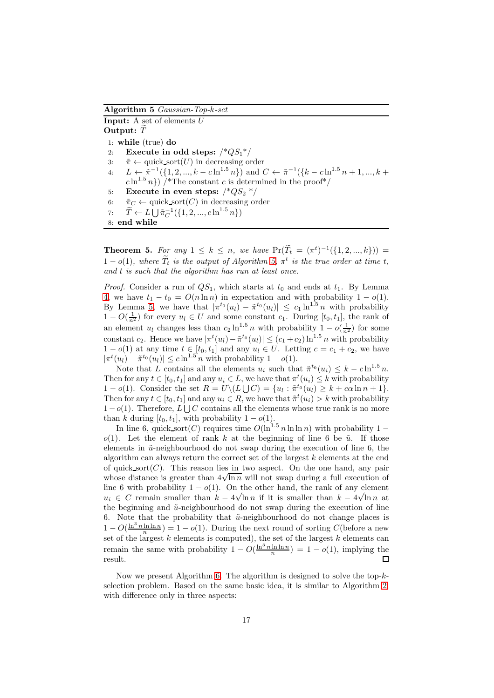<span id="page-16-1"></span>Algorithm 5 Gaussian-Top-k-set

**Input:** A set of elements  $U$ Output:  $\tilde{T}$ 1: while (true) do 2: Execute in odd steps:  $\frac{1}{2}QS_1^*$ 3:  $\tilde{\pi} \leftarrow \text{quick\_sort}(U)$  in decreasing order<br>4:  $L \leftarrow \tilde{\pi}^{-1}(\{1, 2, ..., k - c \ln^{1.5} n\})$  and ( 4:  $L \leftarrow \tilde{\pi}^{-1}(\{1, 2, ..., k - c \ln^{1.5} n\})$  and  $C \leftarrow \tilde{\pi}^{-1}(\{k - c \ln^{1.5} n + 1, ..., k + c \ln^{1.5} n\})$  $c \ln^{1.5} n$ ) /\*The constant c is determined in the proof\*/ 5: Execute in even steps:  $\frac{*QS_2 *}{s}$ 6:  $\tilde{\pi}_C \leftarrow \text{quick\_sort}(C)$  in decreasing order<br>7:  $\tilde{T} \leftarrow L \cup {\tilde{\pi}_C^{-1}(\{1, 2, ..., c\ln^{1.5} n\})}$ 7:  $\widetilde{T} \leftarrow L \bigcup \pi_C^{-1}(\{1, 2, ..., c \ln^{1.5} n\})$ 8: end while

<span id="page-16-0"></span>**Theorem 5.** For any  $1 \leq k \leq n$ , we have  $Pr(\tilde{T}_t = (\pi^t)^{-1}(\{1, 2, ..., k\}))$  $1 - o(1)$ , where  $\tilde{T}_t$  is the output of Algorithm [5,](#page-16-1)  $\pi^t$  is the true order at time t, and  $t$  is such that the algorithm has run at least once.

*Proof.* Consider a run of  $QS_1$ , which starts at  $t_0$  and ends at  $t_1$ . By Lemma [4,](#page-13-1) we have  $t_1 - t_0 = O(n \ln n)$  in expectation and with probability  $1 - o(1)$ . By Lemma [5,](#page-14-0) we have that  $|\pi^{t_0}(u_l) - \tilde{\pi}^{t_0}(u_l)| \leq c_1 \ln^{1.5} n$  with probability  $1 - O(\frac{1}{n^2})$  for every  $u_l \in U$  and some constant  $c_1$ . During  $[t_0, t_1]$ , the rank of an element  $u_l$  changes less than  $c_2 \ln^{1.5} n$  with probability  $1 - o(\frac{1}{n^2})$  for some constant  $c_2$ . Hence we have  $|\pi^t(u_l) - \tilde{\pi}^{t_0}(u_l)| \leq (c_1 + c_2) \ln^{1.5} n$  with probability  $1 - o(1)$  at any time  $t \in [t_0, t_1]$  and any  $u_l \in U$ . Letting  $c = c_1 + c_2$ , we have  $|\pi^t(u_l) - \tilde{\pi}^{t_0}(u_l)| \leq c \ln^{1.5} n$  with probability  $1 - o(1)$ .

Note that L contains all the elements  $u_i$  such that  $\tilde{\pi}^{t_0}(u_i) \leq k - c \ln^{1.5} n$ . Then for any  $t \in [t_0, t_1]$  and any  $u_i \in L$ , we have that  $\pi^t(u_i) \leq k$  with probability 1 – o(1). Consider the set  $R = U \setminus (L \cup C) = \{u_l : \tilde{\pi}^{t_0}(u_l) \geq k + c \alpha \ln n + 1\}.$ Then for any  $t \in [t_0, t_1]$  and any  $u_i \in R$ , we have that  $\tilde{\pi}^t(u_i) > k$  with probability  $1-o(1)$ . Therefore,  $L \bigcup C$  contains all the elements whose true rank is no more than k during [t<sub>0</sub>, t<sub>1</sub>], with probability  $1 - o(1)$ .

In line 6, quick sort $(C)$  requires time  $O(\ln^{1.5} n \ln \ln n)$  with probability 1 − o(1). Let the element of rank k at the beginning of line 6 be  $\tilde{u}$ . If those elements in  $\tilde{u}$ -neighbourhood do not swap during the execution of line 6, the algorithm can always return the correct set of the largest  $k$  elements at the end of quick sort $(C)$ . This reason lies in two aspect. On the one hand, any pair whose distance is greater than  $4\sqrt{\ln n}$  will not swap during a full execution of line 6 with probability  $1 - o(1)$ . On the other hand, the rank of any element  $u_i \in C$  remain smaller than  $k - 4\sqrt{\ln n}$  if it is smaller than  $k - 4\sqrt{\ln n}$  at the beginning and  $\tilde{u}$ -neighbourhood do not swap during the execution of line 6. Note that the probability that  $\tilde{u}$ -neighbourhood do not change places is  $1 - O(\frac{\ln^3 n \ln \ln n}{n}) = 1 - o(1)$ . During the next round of sorting C(before a new set of the largest  $k$  elements is computed), the set of the largest  $k$  elements can remain the same with probability  $1 - O(\frac{\ln^3 n \ln \ln n}{n}) = 1 - o(1)$ , implying the result.

Now we present Algorithm [6.](#page-17-0) The algorithm is designed to solve the top- $k$ selection problem. Based on the same basic idea, it is similar to Algorithm [2,](#page-8-0) with difference only in three aspects: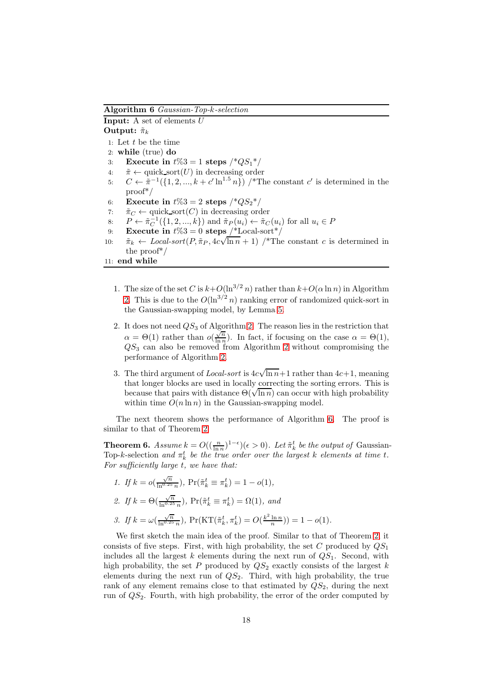<span id="page-17-0"></span>Algorithm 6 Gaussian-Top-k-selection

**Input:** A set of elements  $U$ Output:  $\tilde{\pi}_k$ 1: Let t be the time 2: while (true) do 3: Execute in  $t\%3 = 1$  steps  $\frac{*QS_1*}{}$ 4:  $\tilde{\pi} \leftarrow \text{quick\_sort}(U)$  in decreasing order 5:  $C \leftarrow \tilde{\pi}^{-1}(\{1, 2, ..., k + c' \ln^{1.5} n\})$  /\*The constant c' is determined in the proof\*/ 6: Execute in  $t\%3 = 2$  steps  $\frac{*QS_2^*}{ }$ 7:  $\tilde{\pi}_C \leftarrow \text{quick\_sort}(C)$  in decreasing order<br>8:  $P \leftarrow \tilde{\pi}_C^{-1}(\{1, 2, ..., k\})$  and  $\tilde{\pi}_P(u_i) \leftarrow \tilde{\pi}_C$ 8:  $P \leftarrow \tilde{\pi}_C^{-1}(\{1, 2, ..., k\})$  and  $\tilde{\pi}_P(u_i) \leftarrow \tilde{\pi}_C(u_i)$  for all  $u_i \in P$ 9: **Execute in**  $t\%3 = 0$  steps  $\frac{1}{2}$ Local-sort / 10:  $\tilde{\pi}_k \leftarrow Local-sort(P, \tilde{\pi}_P, 4c\sqrt{\ln n} + 1)$  /\*The constant c is determined in the proof\*/

- 11: end while
	- 1. The size of the set C is  $k+O(\ln^{3/2} n)$  rather than  $k+O(\alpha \ln n)$  in Algorithm [2.](#page-8-0) This is due to the  $O(\ln^{3/2} n)$  ranking error of randomized quick-sort in the Gaussian-swapping model, by Lemma [5.](#page-14-0)
	- 2. It does not need  $QS_3$  of Algorithm [2.](#page-8-0) The reason lies in the restriction that  $\alpha = \Theta(1)$  rather than  $o(\frac{\sqrt{n}}{\ln n})$  $\frac{\sqrt{n}}{\ln n}$ ). In fact, if focusing on the case  $\alpha = \Theta(1)$ ,  $QS<sub>3</sub>$  can also be removed from Algorithm [2](#page-8-0) without compromising the performance of Algorithm [2.](#page-8-0)
	- 3. The third argument of *Local-sort* is  $4c\sqrt{\ln n}+1$  rather than  $4c+1$ , meaning that longer blocks are used in locally correcting the sorting errors. This is because that pairs with distance  $\Theta(\sqrt{\ln n})$  can occur with high probability within time  $O(n \ln n)$  in the Gaussian-swapping model.

The next theorem shows the performance of Algorithm [6.](#page-17-0) The proof is similar to that of Theorem [2.](#page-9-2)

<span id="page-17-1"></span>**Theorem 6.** Assume  $k = O((\frac{n}{\ln n})^{1-\epsilon})(\epsilon > 0)$ . Let  $\tilde{\pi}_k^t$  be the output of Gaussian-Top-k-selection and  $\pi_k^t$  be the true order over the largest k elements at time t. For sufficiently large t, we have that:

1. If 
$$
k = o(\frac{\sqrt{n}}{\ln^{0.25} n})
$$
,  $\Pr(\tilde{\pi}_k^t \equiv \pi_k^t) = 1 - o(1)$ ,  
\n2. If  $k = \Theta(\frac{\sqrt{n}}{\ln^{0.25} n})$ ,  $\Pr(\tilde{\pi}_k^t \equiv \pi_k^t) = \Omega(1)$ , and  
\n3. If  $k = \omega(\frac{\sqrt{n}}{\ln^{0.25} n})$ ,  $\Pr(\mathrm{KT}(\tilde{\pi}_k^t, \pi_k^t) = O(\frac{k^2 \ln n}{n})) = 1 - o(1)$ .

We first sketch the main idea of the proof. Similar to that of Theorem [2,](#page-9-2) it consists of five steps. First, with high probability, the set C produced by  $QS<sub>1</sub>$ includes all the largest  $k$  elements during the next run of  $QS_1$ . Second, with high probability, the set  $P$  produced by  $QS_2$  exactly consists of the largest  $k$ elements during the next run of  $QS_2$ . Third, with high probability, the true rank of any element remains close to that estimated by  $QS_2$ , during the next run of  $QS<sub>2</sub>$ . Fourth, with high probability, the error of the order computed by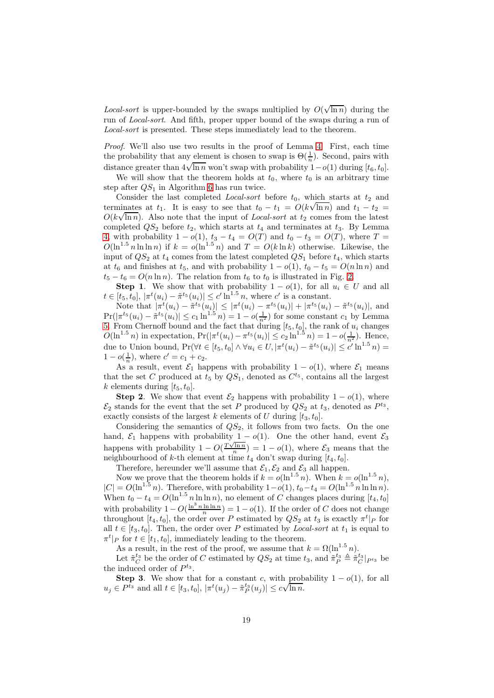*Local-sort* is upper-bounded by the swaps multiplied by  $O(\sqrt{\ln n})$  during the run of Local-sort. And fifth, proper upper bound of the swaps during a run of Local-sort is presented. These steps immediately lead to the theorem.

Proof. We'll also use two results in the proof of Lemma [4.](#page-13-1) First, each time the probability that any element is chosen to swap is  $\Theta(\frac{1}{n})$ . Second, pairs with distance greater than  $4\sqrt{\ln n}$  won't swap with probability  $1-o(1)$  during  $[t_6, t_0]$ .

We will show that the theorem holds at  $t_0$ , where  $t_0$  is an arbitrary time step after  $QS_1$  in Algorithm [6](#page-17-0) has run twice.

Consider the last completed *Local-sort* before  $t_0$ , which starts at  $t_2$  and terminates at  $t_1$ . It is easy to see that  $t_0 - t_1 = O(k\sqrt{\ln n})$  and  $t_1 - t_2 =$  $O(k\sqrt{\ln n})$ . Also note that the input of *Local-sort* at  $t_2$  comes from the latest completed  $QS_2$  before  $t_2$ , which starts at  $t_4$  and terminates at  $t_3$ . By Lemma [4,](#page-13-1) with probability  $1 - o(1)$ ,  $t_3 - t_4 = O(T)$  and  $t_0 - t_3 = O(T)$ , where  $T =$  $O(\ln^{1.5} n \ln \ln n)$  if  $k = o(\ln^{1.5} n)$  and  $T = O(k \ln k)$  otherwise. Likewise, the input of  $QS_2$  at  $t_4$  comes from the latest completed  $QS_1$  before  $t_4$ , which starts at  $t_6$  and finishes at  $t_5$ , and with probability  $1 - o(1)$ ,  $t_0 - t_5 = O(n \ln n)$  and  $t_5 - t_6 = O(n \ln n)$ . The relation from  $t_6$  to  $t_0$  is illustrated in Fig. [2.](#page-19-0)

**Step 1.** We show that with probability  $1 - o(1)$ , for all  $u_i \in U$  and all  $t \in [t_5, t_0], |\pi^t(u_i) - \tilde{\pi}^{t_5}(u_i)| \le c' \ln^{1.5} n$ , where  $c'$  is a constant.

Note that  $|\pi^t(u_i) - \tilde{\pi}^{t_5}(u_i)| \leq |\pi^t(u_i) - \pi^{t_5}(u_i)| + |\pi^{t_5}(u_i) - \tilde{\pi}^{t_5}(u_i)|$ , and  $Pr(|\pi^{t_5}(u_i) - \tilde{\pi}^{t_5}(u_i)| \leq c_1 \ln^{1.5} n) = 1 - o(\frac{1}{n^2})$  for some constant  $c_1$  by Lemma [5.](#page-14-0) From Chernoff bound and the fact that during  $[t_5, t_0]$ , the rank of  $u_i$  changes  $O(\ln^{1.5} n)$  in expectation,  $Pr(|\pi^t(u_i) - \pi^{t_5}(u_i)| \leq c_2 \ln^{1.5} n) = 1 - o(\frac{1}{n^2})$ . Hence, due to Union bound,  $Pr(\forall t \in [t_5, t_0] \land \forall u_i \in U, |\pi^t(u_i) - \tilde{\pi}^{t_5}(u_i)| \leq c' \ln^{1.5} n) =$  $1 - o(\frac{1}{n})$ , where  $c' = c_1 + c_2$ .

As a result, event  $\mathcal{E}_1$  happens with probability  $1 - o(1)$ , where  $\mathcal{E}_1$  means that the set C produced at  $t_5$  by  $QS_1$ , denoted as  $C^{t_5}$ , contains all the largest k elements during  $[t_5, t_0]$ .

**Step 2.** We show that event  $\mathcal{E}_2$  happens with probability  $1 - o(1)$ , where  $\mathcal{E}_2$  stands for the event that the set P produced by  $QS_2$  at  $t_3$ , denoted as  $P^{t_3}$ , exactly consists of the largest k elements of U during  $[t_3, t_0]$ .

Considering the semantics of  $QS_2$ , it follows from two facts. On the one hand,  $\mathcal{E}_1$  happens with probability 1 –  $o(1)$ . One the other hand, event  $\mathcal{E}_3$ happens with probability  $1 - O(\frac{T\sqrt{\ln n}}{n}) = 1 - o(1)$ , where  $\mathcal{E}_3$  means that the neighbourhood of k-th element at time  $t_4$  don't swap during  $[t_4, t_0]$ .

Therefore, hereunder we'll assume that  $\mathcal{E}_1, \mathcal{E}_2$  and  $\mathcal{E}_3$  all happen.

Now we prove that the theorem holds if  $k = o(\ln^{1.5} n)$ . When  $k = o(\ln^{1.5} n)$ ,  $|C| = O(\ln^{1.5} n)$ . Therefore, with probability  $1-o(1)$ ,  $t_0-t_4 = O(\ln^{1.5} n \ln \ln n)$ . When  $t_0 - t_4 = O(\ln^{1.5} n \ln \ln n)$ , no element of C changes places during  $[t_4, t_0]$ with probability  $1 - O(\frac{\ln^3 n \ln \ln n}{n}) = 1 - o(1)$ . If the order of C does not change throughout  $[t_4, t_0]$ , the order over P estimated by  $QS_2$  at  $t_3$  is exactly  $\pi^t|_P$  for all  $t \in [t_3, t_0]$ . Then, the order over P estimated by *Local-sort* at  $t_1$  is equal to  $\pi^t|_P$  for  $t \in [t_1, t_0]$ , immediately leading to the theorem.

As a result, in the rest of the proof, we assume that  $k = \Omega(\ln^{1.5} n)$ .

Let  $\tilde{\pi}_C^{t_3}$  be the order of C estimated by  $QS_2$  at time  $t_3$ , and  $\tilde{\pi}_P^{t_3} \triangleq \tilde{\pi}_C^{t_3}|_{P^{t_3}}$  be the induced order of  $P^{t_3}$ .

**Step 3.** We show that for a constant c, with probability  $1 - o(1)$ , for all  $u_j \in P^{t_3}$  and all  $t \in [t_3, t_0], |\pi^t(u_j) - \tilde{\pi}_P^{t_3}(u_j)| \leq c\sqrt{\ln n}$ .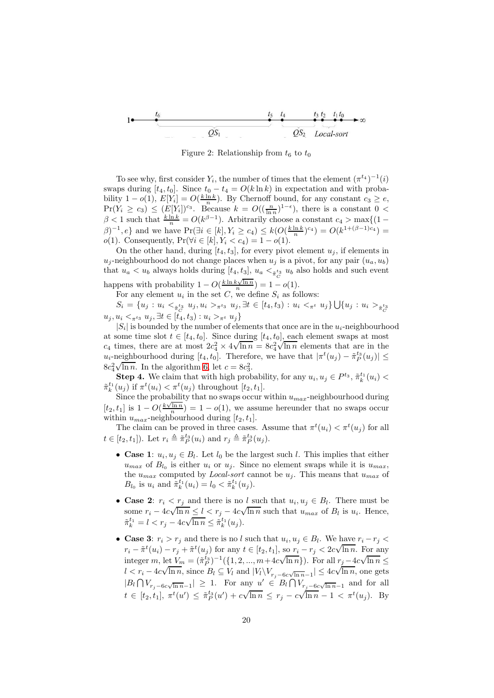

<span id="page-19-0"></span>Figure 2: Relationship from  $t_6$  to  $t_0$ 

To see why, first consider  $Y_i$ , the number of times that the element  $(\pi^{t_4})^{-1}(i)$ swaps during  $[t_4, t_0]$ . Since  $t_0 - t_4 = O(k \ln k)$  in expectation and with probability  $1 - o(1)$ ,  $E[Y_i] = O(\frac{k \ln k}{n})$ . By Chernoff bound, for any constant  $c_3 \geq e$ ,  $Pr(Y_i \ge c_3) \le (E[Y_i])^{c_3}$ . Because  $k = O((\frac{n}{\ln n})^{1-\epsilon})$ , there is a constant  $0 <$  $\beta < 1$  such that  $\frac{k \ln k}{n} = O(k^{\beta - 1})$ . Arbitrarily choose a constant  $c_4 > \max\{(1 - \frac{m}{n})\}$  $\beta$ )<sup>-1</sup>, e} and we have Pr( $\exists i \in [k], Y_i \ge c_4$ )  $\le k(O(\frac{k \ln k}{n})^{c_4}) = O(k^{1+(\beta-1)c_4}) =$ *o*(1). Consequently, Pr( $\forall i \in [k], Y_i < c_4$ ) = 1 − *o*(1).

On the other hand, during  $[t_4, t_3]$ , for every pivot element  $u_i$ , if elements in  $u_j$ -neighbourhood do not change places when  $u_j$  is a pivot, for any pair  $(u_a, u_b)$ that  $u_a < u_b$  always holds during  $[t_4, t_3]$ ,  $u_a <_{\tilde{\pi}_C}^{t_3} u_b$  also holds and such event happens with probability  $1 - O(\frac{k \ln k \sqrt{\ln n}}{n}) = 1 - o(1)$ .

For any element  $u_i$  in the set C, we define  $S_i$  as follows:

 $S_i = \{u_j: u_i <_{\tilde{\pi}_C^{t_3}} u_j, u_i >_{\pi^{t_3}} u_j, \exists t \in [t_4, t_3): u_i <_{\pi^{t}} u_j\} \bigcup \{u_j: u_i >_{\tilde{\pi}_C^{t_3}} u_j, u_i >_{\pi^{t_3}} u_j, u_i >_{\pi^{t_3}} u_j, \exists t \in [t_4, t_3): u_i <_{\pi^{t_3}} u_j\}$  $u_j, u_i <_{\pi^{t_3}} u_j, \exists t \in [t_4, t_3) : u_i >_{\pi^{t}} u_j \}$ 

 $|S_i|$  is bounded by the number of elements that once are in the  $u_i$ -neighbourhood at some time slot  $t \in [t_4, t_0]$ . Since during  $[t_4, t_0]$ , each element swaps at most c<sub>4</sub> times, there are at most  $2c_4^2 \times 4\sqrt{\ln n} = 8c_4^2\sqrt{\ln n}$  elements that are in the  $u_i$ -neighbourhood during  $[t_4, t_0]$ . Therefore, we have that  $|\pi^t(u_j) - \tilde{\pi}_P^{t_3}(u_j)| \leq$  $8c_4^2\sqrt{\ln n}$ . In the algorithm [6,](#page-17-0) let  $c = 8c_3^2$ .

**Step 4.** We claim that with high probability, for any  $u_i, u_j \in P^{t_3}$ ,  $\tilde{\pi}_k^{t_1}(u_i)$  <  $\tilde{\pi}_k^{t_1}(u_j)$  if  $\pi^t(u_i) < \pi^t(u_j)$  throughout  $[t_2, t_1]$ .

Since the probability that no swaps occur within  $u_{max}$ -neighbourhood during  $[t_2, t_1]$  is  $1 - O(\frac{k\sqrt{\ln n}}{n}) = 1 - o(1)$ , we assume hereunder that no swaps occur within  $u_{max}$ -neighbourhood during  $[t_2, t_1]$ .

The claim can be proved in three cases. Assume that  $\pi^t(u_i) < \pi^t(u_j)$  for all  $t \in [t_2, t_1]$ ). Let  $r_i \triangleq \tilde{\pi}_P^{t_3}(u_i)$  and  $r_j \triangleq \tilde{\pi}_P^{t_3}(u_j)$ .

- Case 1:  $u_i, u_j \in B_l$ . Let  $l_0$  be the largest such l. This implies that either  $u_{max}$  of  $B_{l_0}$  is either  $u_i$  or  $u_j$ . Since no element swaps while it is  $u_{max}$ , the  $u_{max}$  computed by *Local-sort* cannot be  $u_j$ . This means that  $u_{max}$  of  $B_{l_0}$  is  $u_i$  and  $\tilde{\pi}_k^{t_1}(u_i) = l_0 < \tilde{\pi}_k^{t_1}(u_j)$ .
- Case 2:  $r_i \leq r_j$  and there is no l such that  $u_i, u_j \in B_l$ . There must be some  $r_i - 4c\sqrt{\ln n} \le l < r_j - 4c\sqrt{\ln n}$  such that  $u_{max}$  of  $B_l$  is  $u_i$ . Hence,  $\tilde{\pi}_{k}^{t_1} = l < r_j - 4c\sqrt{\ln n} \leq \tilde{\pi}_{k}^{t_1}(u_j).$
- Case 3:  $r_i > r_j$  and there is no l such that  $u_i, u_j \in B_l$ . We have  $r_i r_j <$  $r_i - \tilde{\pi}^t(u_i) - r_j + \tilde{\pi}^t(u_j)$  for any  $t \in [t_2, t_1]$ , so  $r_i - r_j < 2c\sqrt{\ln n}$ . For any integer m, let  $V_m = (\tilde{\pi}_P^{t_3})^{-1} (\{1, 2, ..., m + 4c\sqrt{\ln n}\})$ . For all  $r_j = 4c\sqrt{\ln n} \le$  $l < r_i - 4c\sqrt{\ln n}$ , since  $B_l \subseteq V_l$  and  $|V_l \setminus V_{r_j-6c\sqrt{\ln n}-1}| \leq 4c\sqrt{\ln n}$ , one gets  $|B_l \bigcap V_{r_j-6c\sqrt{\ln n}-1}| \geq 1$ . For any  $u' \in B_l \bigcap V_{r_j-6c\sqrt{\ln n}-1}$  and for all  $t \in [t_2, t_1], \pi^t(u') \leq \tilde{\pi}_P^{t_3}(u') + c\sqrt{\ln n} \leq r_j - c\sqrt{\ln n} - 1 < \pi^t(u_j)$ . By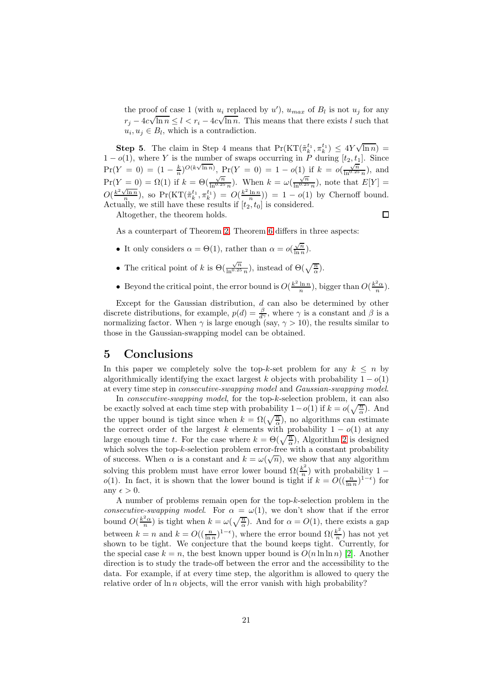the proof of case 1 (with  $u_i$  replaced by  $u'$ ),  $u_{max}$  of  $B_l$  is not  $u_j$  for any  $r_j - 4c\sqrt{\ln n} \le l < r_i - 4c\sqrt{\ln n}$ . This means that there exists l such that  $u_i, u_j \in B_l$ , which is a contradiction.

**Step 5.** The claim in Step 4 means that  $Pr(KT(\tilde{\pi}_k^{t_1}, \pi_k^{t_1}) \leq 4Y\sqrt{\ln n})$  $1 - o(1)$ , where Y is the number of swaps occurring in P during  $[t_2, t_1]$ . Since  $Pr(Y = 0) = (1 - \frac{k}{n})^{O(k\sqrt{\ln n})},$   $Pr(Y = 0) = 1 - o(1)$  if  $k = o(\frac{\sqrt{n}}{\ln^{0.25} n})$ , and  $Pr(Y = 0) = \Omega(1)$  if  $k = \Theta(\frac{\sqrt{n}}{\ln^{0.25} n})$ . When  $k = \omega(\frac{\sqrt{n}}{\ln^{0.25} n})$ , note that  $E[Y] =$  $O(\frac{k^2\sqrt{\ln n}}{n})$ , so Pr(KT( $\tilde{\pi}_k^{t_1}, \pi_k^{t_1}$ ) =  $O(\frac{k^2\ln n}{n})$ ) = 1 – o(1) by Chernoff bound. Actually, we still have these results if  $[t_2, t_0]$  is considered.  $\Box$ 

Altogether, the theorem holds.

As a counterpart of Theorem [2,](#page-9-2) Theorem [6](#page-17-1) differs in three aspects:

- It only considers  $\alpha = \Theta(1)$ , rather than  $\alpha = o(\frac{\sqrt{n}}{\ln n})$  $\frac{\sqrt{n}}{\ln n}$ ).
- The critical point of k is  $\Theta(\frac{\sqrt{n}}{\ln^{0.25}n})$ , instead of  $\Theta(\sqrt{\frac{n}{\alpha}})$ .
- Beyond the critical point, the error bound is  $O(\frac{k^2 \ln n}{n})$ , bigger than  $O(\frac{k^2 \alpha}{n})$ .

Except for the Gaussian distribution, d can also be determined by other discrete distributions, for example,  $p(d) = \frac{\beta}{d\gamma}$ , where  $\gamma$  is a constant and  $\beta$  is a normalizing factor. When  $\gamma$  is large enough (say,  $\gamma > 10$ ), the results similar to those in the Gaussian-swapping model can be obtained.

## <span id="page-20-0"></span>5 Conclusions

In this paper we completely solve the top-k-set problem for any  $k \leq n$  by algorithmically identifying the exact largest k objects with probability  $1 - o(1)$ at every time step in consecutive-swapping model and Gaussian-swapping model.

In *consecutive-swapping model*, for the top-k-selection problem, it can also be exactly solved at each time step with probability  $1-o(1)$  if  $k = o(\sqrt{\frac{n}{\alpha}})$ . And the upper bound is tight since when  $k = \Omega(\sqrt{\frac{n}{\alpha}})$ , no algorithms can estimate the correct order of the largest k elements with probability  $1 - o(1)$  at any large enough time t. For the case where  $k = \Theta(\sqrt{\frac{n}{\alpha}})$ , Algorithm [2](#page-8-0) is designed which solves the top- $k$ -selection problem error-free with a constant probability of success. When  $\alpha$  is a constant and  $k = \omega(\sqrt{n})$ , we show that any algorithm solving this problem must have error lower bound  $\Omega(\frac{k^2}{n})$  $\frac{\kappa}{n}$ ) with probability 1 – o(1). In fact, it is shown that the lower bound is tight if  $k = O((\frac{n}{\ln n})^{1-\epsilon})$  for any  $\epsilon > 0$ .

A number of problems remain open for the top- $k$ -selection problem in the consecutive-swapping model. For  $\alpha = \omega(1)$ , we don't show that if the error bound  $O(\frac{k^2\alpha}{n})$  is tight when  $k = \omega(\sqrt{\frac{n}{\alpha}})$ . And for  $\alpha = O(1)$ , there exists a gap between  $k = n$  and  $k = O((\frac{n}{\ln n})^{1-\epsilon})$ , where the error bound  $\Omega(\frac{k^2}{n})$  $\frac{k^2}{n}$ ) has not yet shown to be tight. We conjecture that the bound keeps tight. Currently, for the special case  $k = n$ , the best known upper bound is  $O(n \ln \ln n)$  [\[2\]](#page-21-0). Another direction is to study the trade-off between the error and the accessibility to the data. For example, if at every time step, the algorithm is allowed to query the relative order of  $\ln n$  objects, will the error vanish with high probability?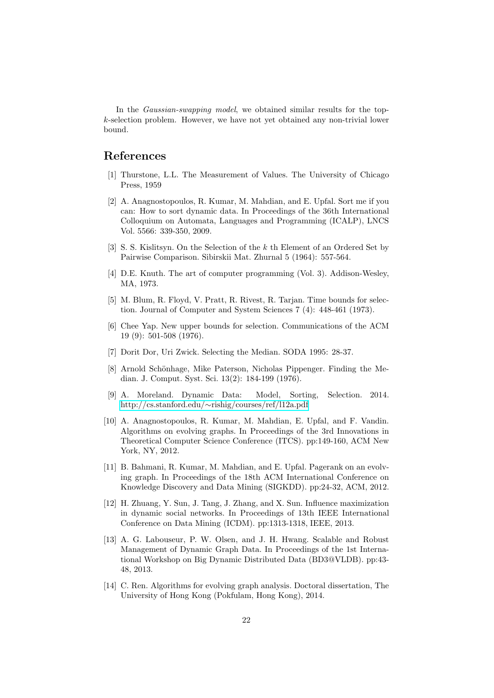In the *Gaussian-swapping model*, we obtained similar results for the topk-selection problem. However, we have not yet obtained any non-trivial lower bound.

## <span id="page-21-1"></span>References

- <span id="page-21-0"></span>[1] Thurstone, L.L. The Measurement of Values. The University of Chicago Press, 1959
- [2] A. Anagnostopoulos, R. Kumar, M. Mahdian, and E. Upfal. Sort me if you can: How to sort dynamic data. In Proceedings of the 36th International Colloquium on Automata, Languages and Programming (ICALP), LNCS Vol. 5566: 339-350, 2009.
- <span id="page-21-3"></span>[3] S. S. Kislitsyn. On the Selection of the k th Element of an Ordered Set by Pairwise Comparison. Sibirskii Mat. Zhurnal 5 (1964): 557-564.
- <span id="page-21-4"></span><span id="page-21-2"></span>[4] D.E. Knuth. The art of computer programming (Vol. 3). Addison-Wesley, MA, 1973.
- [5] M. Blum, R. Floyd, V. Pratt, R. Rivest, R. Tarjan. Time bounds for selection. Journal of Computer and System Sciences 7 (4): 448-461 (1973).
- <span id="page-21-5"></span>[6] Chee Yap. New upper bounds for selection. Communications of the ACM 19 (9): 501-508 (1976).
- <span id="page-21-7"></span><span id="page-21-6"></span>[7] Dorit Dor, Uri Zwick. Selecting the Median. SODA 1995: 28-37.
- [8] Arnold Schönhage, Mike Paterson, Nicholas Pippenger. Finding the Median. J. Comput. Syst. Sci. 13(2): 184-199 (1976).
- <span id="page-21-13"></span>[9] A. Moreland. Dynamic Data: Model, Sorting, Selection. 2014. http://cs.stanford.edu/∼[rishig/courses/ref/l12a.pdf](http://cs.stanford.edu/~rishig/courses/ref/l12a.pdf)
- <span id="page-21-8"></span>[10] A. Anagnostopoulos, R. Kumar, M. Mahdian, E. Upfal, and F. Vandin. Algorithms on evolving graphs. In Proceedings of the 3rd Innovations in Theoretical Computer Science Conference (ITCS). pp:149-160, ACM New York, NY, 2012.
- <span id="page-21-9"></span>[11] B. Bahmani, R. Kumar, M. Mahdian, and E. Upfal. Pagerank on an evolving graph. In Proceedings of the 18th ACM International Conference on Knowledge Discovery and Data Mining (SIGKDD). pp:24-32, ACM, 2012.
- <span id="page-21-10"></span>[12] H. Zhuang, Y. Sun, J. Tang, J. Zhang, and X. Sun. Influence maximization in dynamic social networks. In Proceedings of 13th IEEE International Conference on Data Mining (ICDM). pp:1313-1318, IEEE, 2013.
- <span id="page-21-11"></span>[13] A. G. Labouseur, P. W. Olsen, and J. H. Hwang. Scalable and Robust Management of Dynamic Graph Data. In Proceedings of the 1st International Workshop on Big Dynamic Distributed Data (BD3@VLDB). pp:43- 48, 2013.
- <span id="page-21-12"></span>[14] C. Ren. Algorithms for evolving graph analysis. Doctoral dissertation, The University of Hong Kong (Pokfulam, Hong Kong), 2014.